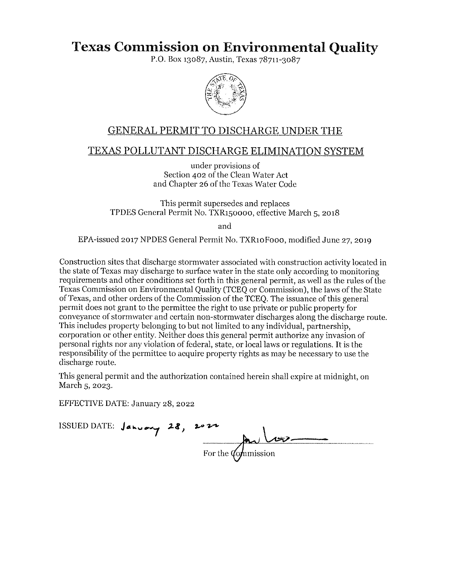# **Texas Commission on Environmental Quality**

P.O. Box 13087, Austin, Texas 78711-3087



# GENERAL PERMIT TO DISCHARGE UNDER THE

# **TEXAS POLLUTANT DISCHARGE ELIMINATION SYSTEM**

under provisions of Section 402 of the Clean Water Act and Chapter 26 of the Texas Water Code

This permit supersedes and replaces TPDES General Permit No. TXR150000, effective March 5, 2018

and

EPA-issued 2017 NPDES General Permit No. TXR10Fooo, modified June 27, 2019

Construction sites that discharge storm water associated with construction activity located in the state of Texas may discharge to surface water in the state only according to monitoring requirements and other conditions set forth in this general permit, as well as the rules of the Texas Commission on Environmental Quality (TCEQ or Commission), the laws of the State ofTexas, and other orders of the Commission of the TCEQ. The issuance of this general permit does not grant to the permittee the right to use private or public property for conveyance of stormwater and certain non-stormwater discharges along the discharge route. This includes property belonging to but not limited to any individual, partnership, corporation or other entity. Neither does this general permit authorize any invasion of personal rights nor any violation of federal, state, or local laws or regulations. It is the responsibility of the permittee to acquire property rights as may be necessary to use the discharge route.

This general permit and the authorization contained herein shall expire at midnight, on March 5, 2023.

EFFECTIVE DATE: January 28, 2022

ISSUED DATE: **J.,.** ..\_..,. .,. *:Ll <sup>1</sup> 1*  For the  $\omega$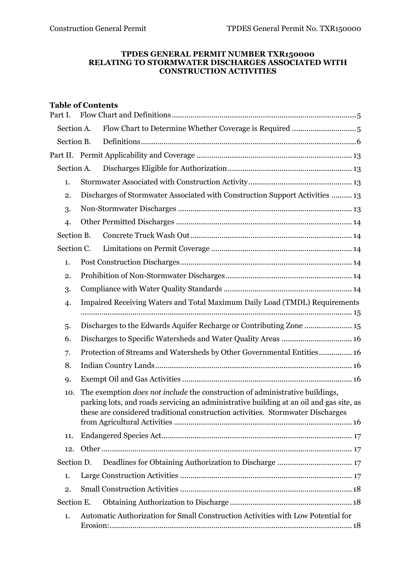#### **TPDES GENERAL PERMIT NUMBER TXR150000 RELATING TO STORMWATER DISCHARGES ASSOCIATED WITH CONSTRUCTION ACTIVITIES**

# **Table of Contents**

| Part I.    |  |                                                                                                                                                                                                                                                                   |  |  |  |  |  |  |  |
|------------|--|-------------------------------------------------------------------------------------------------------------------------------------------------------------------------------------------------------------------------------------------------------------------|--|--|--|--|--|--|--|
| Section A. |  |                                                                                                                                                                                                                                                                   |  |  |  |  |  |  |  |
| Section B. |  |                                                                                                                                                                                                                                                                   |  |  |  |  |  |  |  |
|            |  |                                                                                                                                                                                                                                                                   |  |  |  |  |  |  |  |
| Section A. |  |                                                                                                                                                                                                                                                                   |  |  |  |  |  |  |  |
| 1.         |  |                                                                                                                                                                                                                                                                   |  |  |  |  |  |  |  |
| 2.         |  | Discharges of Stormwater Associated with Construction Support Activities  13                                                                                                                                                                                      |  |  |  |  |  |  |  |
| 3.         |  |                                                                                                                                                                                                                                                                   |  |  |  |  |  |  |  |
| 4.         |  |                                                                                                                                                                                                                                                                   |  |  |  |  |  |  |  |
| Section B. |  |                                                                                                                                                                                                                                                                   |  |  |  |  |  |  |  |
| Section C. |  |                                                                                                                                                                                                                                                                   |  |  |  |  |  |  |  |
| 1.         |  |                                                                                                                                                                                                                                                                   |  |  |  |  |  |  |  |
| 2.         |  |                                                                                                                                                                                                                                                                   |  |  |  |  |  |  |  |
| 3.         |  |                                                                                                                                                                                                                                                                   |  |  |  |  |  |  |  |
| 4.         |  | Impaired Receiving Waters and Total Maximum Daily Load (TMDL) Requirements                                                                                                                                                                                        |  |  |  |  |  |  |  |
|            |  |                                                                                                                                                                                                                                                                   |  |  |  |  |  |  |  |
| 5.         |  | Discharges to the Edwards Aquifer Recharge or Contributing Zone  15                                                                                                                                                                                               |  |  |  |  |  |  |  |
| 6.         |  |                                                                                                                                                                                                                                                                   |  |  |  |  |  |  |  |
| 7.         |  | Protection of Streams and Watersheds by Other Governmental Entities 16                                                                                                                                                                                            |  |  |  |  |  |  |  |
| 8.         |  |                                                                                                                                                                                                                                                                   |  |  |  |  |  |  |  |
| 9.         |  |                                                                                                                                                                                                                                                                   |  |  |  |  |  |  |  |
| 10.        |  | The exemption <i>does not include</i> the construction of administrative buildings,<br>parking lots, and roads servicing an administrative building at an oil and gas site, as<br>these are considered traditional construction activities. Stormwater Discharges |  |  |  |  |  |  |  |
| 11.        |  |                                                                                                                                                                                                                                                                   |  |  |  |  |  |  |  |
| 12.        |  |                                                                                                                                                                                                                                                                   |  |  |  |  |  |  |  |
| Section D. |  |                                                                                                                                                                                                                                                                   |  |  |  |  |  |  |  |
| 1.         |  |                                                                                                                                                                                                                                                                   |  |  |  |  |  |  |  |
| 2.         |  |                                                                                                                                                                                                                                                                   |  |  |  |  |  |  |  |
| Section E. |  |                                                                                                                                                                                                                                                                   |  |  |  |  |  |  |  |
| 1.         |  | Automatic Authorization for Small Construction Activities with Low Potential for                                                                                                                                                                                  |  |  |  |  |  |  |  |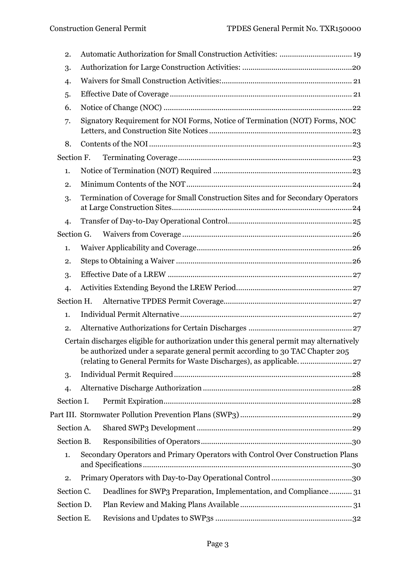| 2.             |                                                                                                                                                                                                                                                    |
|----------------|----------------------------------------------------------------------------------------------------------------------------------------------------------------------------------------------------------------------------------------------------|
| 3.             |                                                                                                                                                                                                                                                    |
| 4.             |                                                                                                                                                                                                                                                    |
| 5.             |                                                                                                                                                                                                                                                    |
| 6.             |                                                                                                                                                                                                                                                    |
| 7.             | Signatory Requirement for NOI Forms, Notice of Termination (NOT) Forms, NOC                                                                                                                                                                        |
| 8.             |                                                                                                                                                                                                                                                    |
| Section F.     |                                                                                                                                                                                                                                                    |
| 1.             |                                                                                                                                                                                                                                                    |
| 2.             |                                                                                                                                                                                                                                                    |
| 3.             | Termination of Coverage for Small Construction Sites and for Secondary Operators                                                                                                                                                                   |
| 4.             |                                                                                                                                                                                                                                                    |
| Section G.     |                                                                                                                                                                                                                                                    |
| 1.             |                                                                                                                                                                                                                                                    |
| 2.             |                                                                                                                                                                                                                                                    |
| 3.             |                                                                                                                                                                                                                                                    |
| $\overline{4}$ |                                                                                                                                                                                                                                                    |
| Section H.     |                                                                                                                                                                                                                                                    |
| 1.             |                                                                                                                                                                                                                                                    |
| 2.             |                                                                                                                                                                                                                                                    |
|                | Certain discharges eligible for authorization under this general permit may alternatively<br>be authorized under a separate general permit according to 30 TAC Chapter 205<br>(relating to General Permits for Waste Discharges), as applicable 27 |
| 3.             |                                                                                                                                                                                                                                                    |
| 4.             |                                                                                                                                                                                                                                                    |
| Section I.     |                                                                                                                                                                                                                                                    |
|                |                                                                                                                                                                                                                                                    |
| Section A.     |                                                                                                                                                                                                                                                    |
| Section B.     |                                                                                                                                                                                                                                                    |
| 1.             | Secondary Operators and Primary Operators with Control Over Construction Plans                                                                                                                                                                     |
| 2.             |                                                                                                                                                                                                                                                    |
| Section C.     | Deadlines for SWP3 Preparation, Implementation, and Compliance 31                                                                                                                                                                                  |
| Section D.     |                                                                                                                                                                                                                                                    |
| Section E.     |                                                                                                                                                                                                                                                    |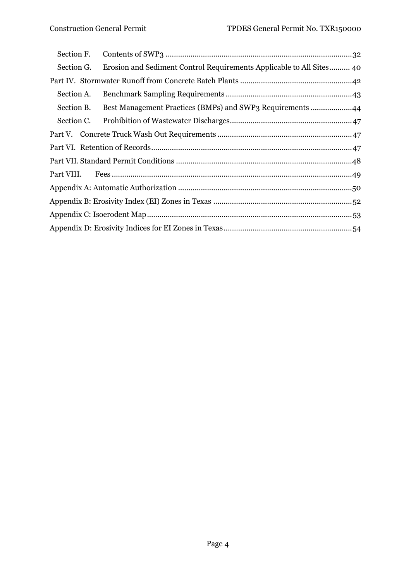| Section F. |                                                           |  |  |  |  |  |  |  |  |  |
|------------|-----------------------------------------------------------|--|--|--|--|--|--|--|--|--|
| Section G. |                                                           |  |  |  |  |  |  |  |  |  |
|            |                                                           |  |  |  |  |  |  |  |  |  |
| Section A. |                                                           |  |  |  |  |  |  |  |  |  |
| Section B. | Best Management Practices (BMPs) and SWP3 Requirements 44 |  |  |  |  |  |  |  |  |  |
| Section C. |                                                           |  |  |  |  |  |  |  |  |  |
|            |                                                           |  |  |  |  |  |  |  |  |  |
|            |                                                           |  |  |  |  |  |  |  |  |  |
|            |                                                           |  |  |  |  |  |  |  |  |  |
|            |                                                           |  |  |  |  |  |  |  |  |  |
|            |                                                           |  |  |  |  |  |  |  |  |  |
|            |                                                           |  |  |  |  |  |  |  |  |  |
|            |                                                           |  |  |  |  |  |  |  |  |  |
|            |                                                           |  |  |  |  |  |  |  |  |  |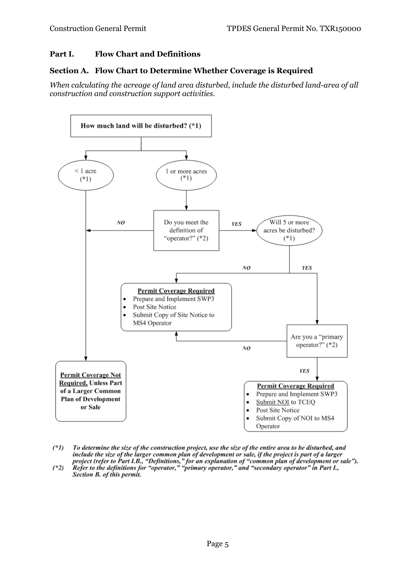### <span id="page-4-0"></span>**Part I. Flow Chart and Definitions**

#### <span id="page-4-1"></span>**Section A. Flow Chart to Determine Whether Coverage is Required**

*When calculating the acreage of land area disturbed, include the disturbed land-area of all construction and construction support activities.*



- To determine the size of the construction project, use the size of the entire area to be disturbed, and  $(1)$ include the size of the larger common plan of development or sale, if the project is part of a larger<br>project (refer to Part I.B., "Definitions," for an explanation of "common plan of development or sale").<br>Refer to the de
- $(*2)$ Section B. of this permit.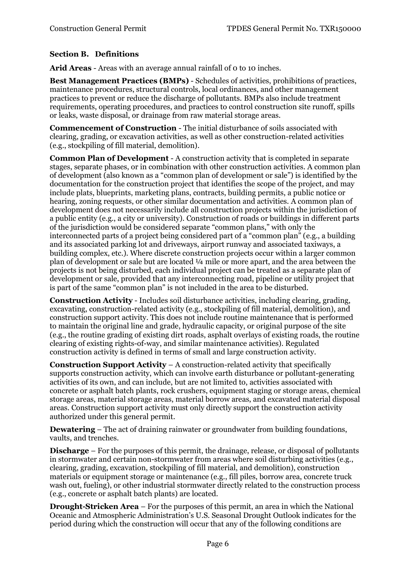# <span id="page-5-0"></span>**Section B. Definitions**

**Arid Areas** - Areas with an average annual rainfall of 0 to 10 inches.

**Best Management Practices (BMPs)** - Schedules of activities, prohibitions of practices, maintenance procedures, structural controls, local ordinances, and other management practices to prevent or reduce the discharge of pollutants. BMPs also include treatment requirements, operating procedures, and practices to control construction site runoff, spills or leaks, waste disposal, or drainage from raw material storage areas.

**Commencement of Construction** - The initial disturbance of soils associated with clearing, grading, or excavation activities, as well as other construction-related activities (e.g., stockpiling of fill material, demolition).

**Common Plan of Development** - A construction activity that is completed in separate stages, separate phases, or in combination with other construction activities. A common plan of development (also known as a "common plan of development or sale") is identified by the documentation for the construction project that identifies the scope of the project, and may include plats, blueprints, marketing plans, contracts, building permits, a public notice or hearing, zoning requests, or other similar documentation and activities. A common plan of development does not necessarily include all construction projects within the jurisdiction of a public entity (e.g., a city or university). Construction of roads or buildings in different parts of the jurisdiction would be considered separate "common plans," with only the interconnected parts of a project being considered part of a "common plan" (e.g., a building and its associated parking lot and driveways, airport runway and associated taxiways, a building complex, etc.). Where discrete construction projects occur within a larger common plan of development or sale but are located ¼ mile or more apart, and the area between the projects is not being disturbed, each individual project can be treated as a separate plan of development or sale, provided that any interconnecting road, pipeline or utility project that is part of the same "common plan" is not included in the area to be disturbed.

**Construction Activity** - Includes soil disturbance activities, including clearing, grading, excavating, construction-related activity (e.g., stockpiling of fill material, demolition), and construction support activity. This does not include routine maintenance that is performed to maintain the original line and grade, hydraulic capacity, or original purpose of the site (e.g., the routine grading of existing dirt roads, asphalt overlays of existing roads, the routine clearing of existing rights-of-way, and similar maintenance activities). Regulated construction activity is defined in terms of small and large construction activity.

**Construction Support Activity** – A construction-related activity that specifically supports construction activity, which can involve earth disturbance or pollutant-generating activities of its own, and can include, but are not limited to, activities associated with concrete or asphalt batch plants, rock crushers, equipment staging or storage areas, chemical storage areas, material storage areas, material borrow areas, and excavated material disposal areas. Construction support activity must only directly support the construction activity authorized under this general permit.

**Dewatering** – The act of draining rainwater or groundwater from building foundations, vaults, and trenches.

**Discharge** – For the purposes of this permit, the drainage, release, or disposal of pollutants in stormwater and certain non-stormwater from areas where soil disturbing activities (e.g., clearing, grading, excavation, stockpiling of fill material, and demolition), construction materials or equipment storage or maintenance (e.g., fill piles, borrow area, concrete truck wash out, fueling), or other industrial stormwater directly related to the construction process (e.g., concrete or asphalt batch plants) are located.

**Drought-Stricken Area** – For the purposes of this permit, an area in which the National Oceanic and Atmospheric Administration's U.S. Seasonal Drought Outlook indicates for the period during which the construction will occur that any of the following conditions are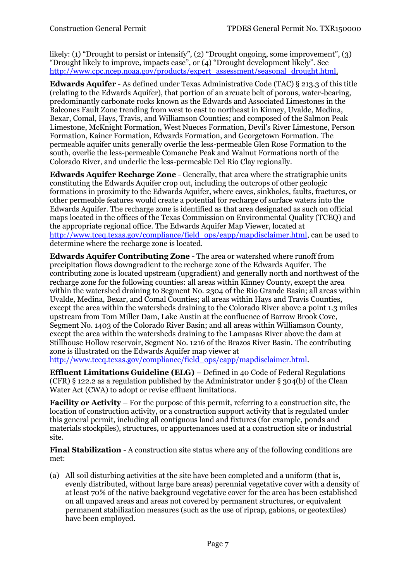likely: (1) "Drought to persist or intensify", (2) "Drought ongoing, some improvement", (3) "Drought likely to improve, impacts ease", or (4) "Drought development likely". See [http://www.cpc.ncep.noaa.gov/products/expert\\_assessment/seasonal\\_drought.html.](http://www.cpc.ncep.noaa.gov/products/expert_assessment/seasonal_drought.html)

**Edwards Aquifer** - As defined under Texas Administrative Code (TAC) § 213.3 of this title (relating to the Edwards Aquifer), that portion of an arcuate belt of porous, water-bearing, predominantly carbonate rocks known as the Edwards and Associated Limestones in the Balcones Fault Zone trending from west to east to northeast in Kinney, Uvalde, Medina, Bexar, Comal, Hays, Travis, and Williamson Counties; and composed of the Salmon Peak Limestone, McKnight Formation, West Nueces Formation, Devil's River Limestone, Person Formation, Kainer Formation, Edwards Formation, and Georgetown Formation. The permeable aquifer units generally overlie the less-permeable Glen Rose Formation to the south, overlie the less-permeable Comanche Peak and Walnut Formations north of the Colorado River, and underlie the less-permeable Del Rio Clay regionally.

**Edwards Aquifer Recharge Zone** - Generally, that area where the stratigraphic units constituting the Edwards Aquifer crop out, including the outcrops of other geologic formations in proximity to the Edwards Aquifer, where caves, sinkholes, faults, fractures, or other permeable features would create a potential for recharge of surface waters into the Edwards Aquifer. The recharge zone is identified as that area designated as such on official maps located in the offices of the Texas Commission on Environmental Quality (TCEQ) and the appropriate regional office. The Edwards Aquifer Map Viewer, located at [http://www.tceq.texas.gov/compliance/field\\_ops/eapp/mapdisclaimer.html,](http://www.tceq.texas.gov/compliance/field_ops/eapp/mapdisclaimer.html) can be used to determine where the recharge zone is located.

**Edwards Aquifer Contributing Zone** - The area or watershed where runoff from precipitation flows downgradient to the recharge zone of the Edwards Aquifer. The contributing zone is located upstream (upgradient) and generally north and northwest of the recharge zone for the following counties: all areas within Kinney County, except the area within the watershed draining to Segment No. 2304 of the Rio Grande Basin; all areas within Uvalde, Medina, Bexar, and Comal Counties; all areas within Hays and Travis Counties, except the area within the watersheds draining to the Colorado River above a point 1.3 miles upstream from Tom Miller Dam, Lake Austin at the confluence of Barrow Brook Cove, Segment No. 1403 of the Colorado River Basin; and all areas within Williamson County, except the area within the watersheds draining to the Lampasas River above the dam at Stillhouse Hollow reservoir, Segment No. 1216 of the Brazos River Basin. The contributing zone is illustrated on the Edwards Aquifer map viewer at [http://www.tceq.texas.gov/compliance/field\\_ops/eapp/mapdisclaimer.html.](http://www.tceq.texas.gov/compliance/field_ops/eapp/mapdisclaimer.html)

**Effluent Limitations Guideline (ELG)** – Defined in 40 Code of Federal Regulations (CFR) § 122.2 as a regulation published by the Administrator under § 304(b) of the Clean Water Act (CWA) to adopt or revise effluent limitations.

**Facility or Activity** – For the purpose of this permit, referring to a construction site, the location of construction activity, or a construction support activity that is regulated under this general permit, including all contiguous land and fixtures (for example, ponds and materials stockpiles), structures, or appurtenances used at a construction site or industrial site.

**Final Stabilization** - A construction site status where any of the following conditions are met:

(a) All soil disturbing activities at the site have been completed and a uniform (that is, evenly distributed, without large bare areas) perennial vegetative cover with a density of at least 70% of the native background vegetative cover for the area has been established on all unpaved areas and areas not covered by permanent structures, or equivalent permanent stabilization measures (such as the use of riprap, gabions, or geotextiles) have been employed.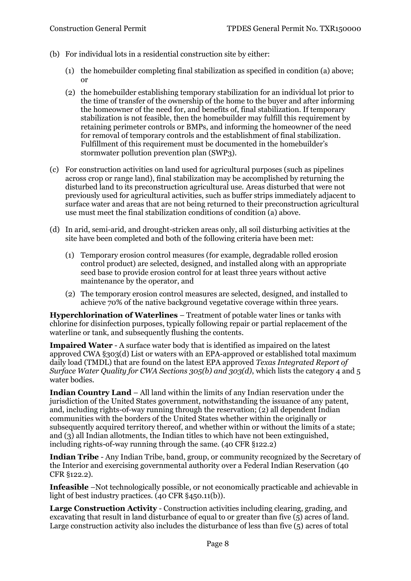- (b) For individual lots in a residential construction site by either:
	- (1) the homebuilder completing final stabilization as specified in condition (a) above; or
	- (2) the homebuilder establishing temporary stabilization for an individual lot prior to the time of transfer of the ownership of the home to the buyer and after informing the homeowner of the need for, and benefits of, final stabilization. If temporary stabilization is not feasible, then the homebuilder may fulfill this requirement by retaining perimeter controls or BMPs, and informing the homeowner of the need for removal of temporary controls and the establishment of final stabilization. Fulfillment of this requirement must be documented in the homebuilder's stormwater pollution prevention plan (SWP3).
- (c) For construction activities on land used for agricultural purposes (such as pipelines across crop or range land), final stabilization may be accomplished by returning the disturbed land to its preconstruction agricultural use. Areas disturbed that were not previously used for agricultural activities, such as buffer strips immediately adjacent to surface water and areas that are not being returned to their preconstruction agricultural use must meet the final stabilization conditions of condition (a) above.
- (d) In arid, semi-arid, and drought-stricken areas only, all soil disturbing activities at the site have been completed and both of the following criteria have been met:
	- (1) Temporary erosion control measures (for example, degradable rolled erosion control product) are selected, designed, and installed along with an appropriate seed base to provide erosion control for at least three years without active maintenance by the operator, and
	- (2) The temporary erosion control measures are selected, designed, and installed to achieve 70% of the native background vegetative coverage within three years.

**Hyperchlorination of Waterlines** – Treatment of potable water lines or tanks with chlorine for disinfection purposes, typically following repair or partial replacement of the waterline or tank, and subsequently flushing the contents.

**Impaired Water** - A surface water body that is identified as impaired on the latest approved CWA §303(d) List or waters with an EPA-approved or established total maximum daily load (TMDL) that are found on the latest EPA approved *Texas Integrated Report of Surface Water Quality for CWA Sections 305(b) and 303(d)*, which lists the category 4 and 5 water bodies.

**Indian Country Land** – All land within the limits of any Indian reservation under the jurisdiction of the United States government, notwithstanding the issuance of any patent, and, including rights-of-way running through the reservation; (2) all dependent Indian communities with the borders of the United States whether within the originally or subsequently acquired territory thereof, and whether within or without the limits of a state; and (3) all Indian allotments, the Indian titles to which have not been extinguished, including rights-of-way running through the same. (40 CFR §122.2)

**Indian Tribe** - Any Indian Tribe, band, group, or community recognized by the Secretary of the Interior and exercising governmental authority over a Federal Indian Reservation (40 CFR §122.2).

**Infeasible** –Not technologically possible, or not economically practicable and achievable in light of best industry practices. (40 CFR §450.11(b)).

**Large Construction Activity** - Construction activities including clearing, grading, and excavating that result in land disturbance of equal to or greater than five (5) acres of land. Large construction activity also includes the disturbance of less than five (5) acres of total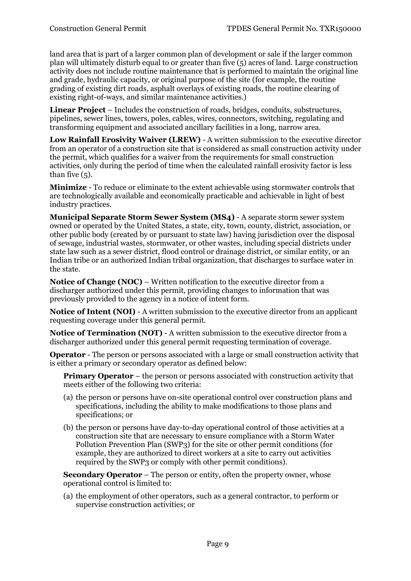land area that is part of a larger common plan of development or sale if the larger common plan will ultimately disturb equal to or greater than five (5) acres of land. Large construction activity does not include routine maintenance that is performed to maintain the original line and grade, hydraulic capacity, or original purpose of the site (for example, the routine grading of existing dirt roads, asphalt overlays of existing roads, the routine clearing of existing right-of-ways, and similar maintenance activities.)

**Linear Project** – Includes the construction of roads, bridges, conduits, substructures, pipelines, sewer lines, towers, poles, cables, wires, connectors, switching, regulating and transforming equipment and associated ancillary facilities in a long, narrow area.

**Low Rainfall Erosivity Waiver (LREW)** - A written submission to the executive director from an operator of a construction site that is considered as small construction activity under the permit, which qualifies for a waiver from the requirements for small construction activities, only during the period of time when the calculated rainfall erosivity factor is less than five (5).

**Minimize** - To reduce or eliminate to the extent achievable using stormwater controls that are technologically available and economically practicable and achievable in light of best industry practices.

**Municipal Separate Storm Sewer System (MS4)** - A separate storm sewer system owned or operated by the United States, a state, city, town, county, district, association, or other public body (created by or pursuant to state law) having jurisdiction over the disposal of sewage, industrial wastes, stormwater, or other wastes, including special districts under state law such as a sewer district, flood control or drainage district, or similar entity, or an Indian tribe or an authorized Indian tribal organization, that discharges to surface water in the state.

**Notice of Change (NOC)** – Written notification to the executive director from a discharger authorized under this permit, providing changes to information that was previously provided to the agency in a notice of intent form.

**Notice of Intent (NOI)** - A written submission to the executive director from an applicant requesting coverage under this general permit.

**Notice of Termination (NOT)** - A written submission to the executive director from a discharger authorized under this general permit requesting termination of coverage.

**Operator** - The person or persons associated with a large or small construction activity that is either a primary or secondary operator as defined below:

**Primary Operator** – the person or persons associated with construction activity that meets either of the following two criteria:

- (a) the person or persons have on-site operational control over construction plans and specifications, including the ability to make modifications to those plans and specifications; or
- (b) the person or persons have day-to-day operational control of those activities at a construction site that are necessary to ensure compliance with a Storm Water Pollution Prevention Plan (SWP3) for the site or other permit conditions (for example, they are authorized to direct workers at a site to carry out activities required by the SWP3 or comply with other permit conditions).

**Secondary Operator** – The person or entity, often the property owner, whose operational control is limited to:

(a) the employment of other operators, such as a general contractor, to perform or supervise construction activities; or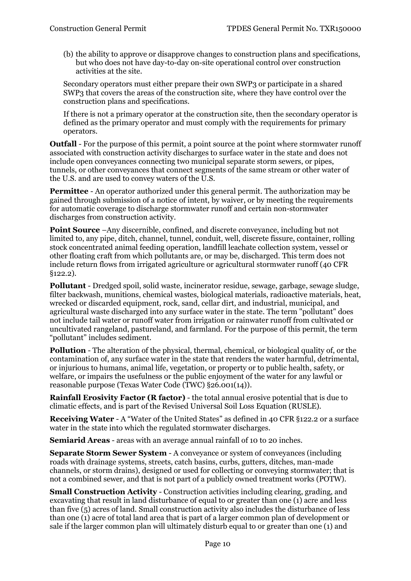(b) the ability to approve or disapprove changes to construction plans and specifications, but who does not have day-to-day on-site operational control over construction activities at the site.

Secondary operators must either prepare their own SWP3 or participate in a shared SWP3 that covers the areas of the construction site, where they have control over the construction plans and specifications.

If there is not a primary operator at the construction site, then the secondary operator is defined as the primary operator and must comply with the requirements for primary operators.

**Outfall** - For the purpose of this permit, a point source at the point where stormwater runoff associated with construction activity discharges to surface water in the state and does not include open conveyances connecting two municipal separate storm sewers, or pipes, tunnels, or other conveyances that connect segments of the same stream or other water of the U.S. and are used to convey waters of the U.S.

**Permittee** - An operator authorized under this general permit. The authorization may be gained through submission of a notice of intent, by waiver, or by meeting the requirements for automatic coverage to discharge stormwater runoff and certain non-stormwater discharges from construction activity.

**Point Source** –Any discernible, confined, and discrete conveyance, including but not limited to, any pipe, ditch, channel, tunnel, conduit, well, discrete fissure, container, rolling stock concentrated animal feeding operation, landfill leachate collection system, vessel or other floating craft from which pollutants are, or may be, discharged. This term does not include return flows from irrigated agriculture or agricultural stormwater runoff (40 CFR §122.2).

**Pollutant** - Dredged spoil, solid waste, incinerator residue, sewage, garbage, sewage sludge, filter backwash, munitions, chemical wastes, biological materials, radioactive materials, heat, wrecked or discarded equipment, rock, sand, cellar dirt, and industrial, municipal, and agricultural waste discharged into any surface water in the state. The term "pollutant" does not include tail water or runoff water from irrigation or rainwater runoff from cultivated or uncultivated rangeland, pastureland, and farmland. For the purpose of this permit, the term "pollutant" includes sediment.

**Pollution** - The alteration of the physical, thermal, chemical, or biological quality of, or the contamination of, any surface water in the state that renders the water harmful, detrimental, or injurious to humans, animal life, vegetation, or property or to public health, safety, or welfare, or impairs the usefulness or the public enjoyment of the water for any lawful or reasonable purpose (Texas Water Code (TWC) §26.001(14)).

**Rainfall Erosivity Factor (R factor)** - the total annual erosive potential that is due to climatic effects, and is part of the Revised Universal Soil Loss Equation (RUSLE).

**Receiving Water** - A "Water of the United States" as defined in 40 CFR §122.2 or a surface water in the state into which the regulated stormwater discharges.

**Semiarid Areas** - areas with an average annual rainfall of 10 to 20 inches.

**Separate Storm Sewer System** - A conveyance or system of conveyances (including roads with drainage systems, streets, catch basins, curbs, gutters, ditches, man-made channels, or storm drains), designed or used for collecting or conveying stormwater; that is not a combined sewer, and that is not part of a publicly owned treatment works (POTW).

**Small Construction Activity** - Construction activities including clearing, grading, and excavating that result in land disturbance of equal to or greater than one (1) acre and less than five (5) acres of land. Small construction activity also includes the disturbance of less than one (1) acre of total land area that is part of a larger common plan of development or sale if the larger common plan will ultimately disturb equal to or greater than one (1) and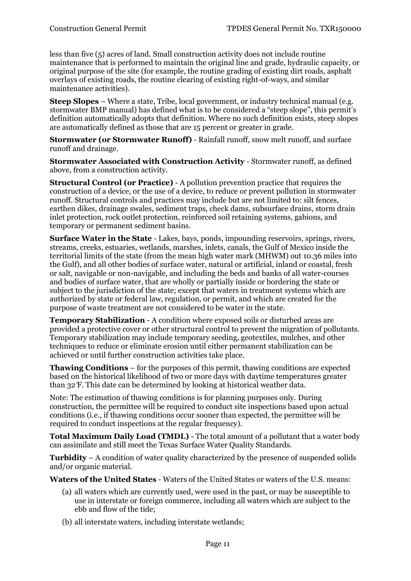less than five (5) acres of land. Small construction activity does not include routine maintenance that is performed to maintain the original line and grade, hydraulic capacity, or original purpose of the site (for example, the routine grading of existing dirt roads, asphalt overlays of existing roads, the routine clearing of existing right-of-ways, and similar maintenance activities).

**Steep Slopes** – Where a state, Tribe, local government, or industry technical manual (e.g. stormwater BMP manual) has defined what is to be considered a "steep slope", this permit's definition automatically adopts that definition. Where no such definition exists, steep slopes are automatically defined as those that are 15 percent or greater in grade.

**Stormwater (or Stormwater Runoff)** - Rainfall runoff, snow melt runoff, and surface runoff and drainage.

**Stormwater Associated with Construction Activity** - Stormwater runoff, as defined above, from a construction activity.

**Structural Control (or Practice)** - A pollution prevention practice that requires the construction of a device, or the use of a device, to reduce or prevent pollution in stormwater runoff. Structural controls and practices may include but are not limited to: silt fences, earthen dikes, drainage swales, sediment traps, check dams, subsurface drains, storm drain inlet protection, rock outlet protection, reinforced soil retaining systems, gabions, and temporary or permanent sediment basins.

**Surface Water in the State** - Lakes, bays, ponds, impounding reservoirs, springs, rivers, streams, creeks, estuaries, wetlands, marshes, inlets, canals, the Gulf of Mexico inside the territorial limits of the state (from the mean high water mark (MHWM) out 10.36 miles into the Gulf), and all other bodies of surface water, natural or artificial, inland or coastal, fresh or salt, navigable or non-navigable, and including the beds and banks of all water-courses and bodies of surface water, that are wholly or partially inside or bordering the state or subject to the jurisdiction of the state; except that waters in treatment systems which are authorized by state or federal law, regulation, or permit, and which are created for the purpose of waste treatment are not considered to be water in the state.

**Temporary Stabilization** - A condition where exposed soils or disturbed areas are provided a protective cover or other structural control to prevent the migration of pollutants. Temporary stabilization may include temporary seeding, geotextiles, mulches, and other techniques to reduce or eliminate erosion until either permanent stabilization can be achieved or until further construction activities take place.

**Thawing Conditions** – for the purposes of this permit, thawing conditions are expected based on the historical likelihood of two or more days with daytime temperatures greater than 32 ̊F. This date can be determined by looking at historical weather data.

Note: The estimation of thawing conditions is for planning purposes only. During construction, the permittee will be required to conduct site inspections based upon actual conditions (i.e., if thawing conditions occur sooner than expected, the permittee will be required to conduct inspections at the regular frequency).

**Total Maximum Daily Load (TMDL)** - The total amount of a pollutant that a water body can assimilate and still meet the Texas Surface Water Quality Standards.

**Turbidity** – A condition of water quality characterized by the presence of suspended solids and/or organic material.

**Waters of the United States** - Waters of the United States or waters of the U.S. means:

- (a) all waters which are currently used, were used in the past, or may be susceptible to use in interstate or foreign commerce, including all waters which are subject to the ebb and flow of the tide;
- (b) all interstate waters, including interstate wetlands;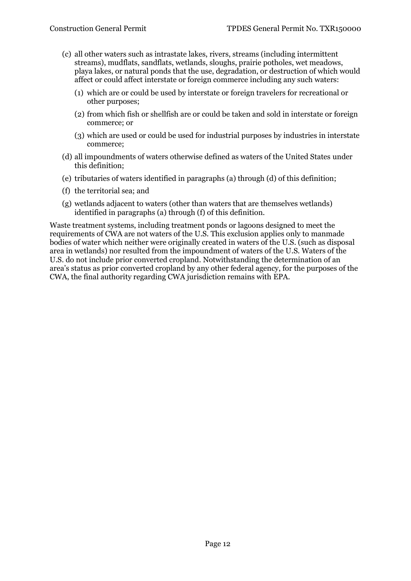- (c) all other waters such as intrastate lakes, rivers, streams (including intermittent streams), mudflats, sandflats, wetlands, sloughs, prairie potholes, wet meadows, playa lakes, or natural ponds that the use, degradation, or destruction of which would affect or could affect interstate or foreign commerce including any such waters:
	- (1) which are or could be used by interstate or foreign travelers for recreational or other purposes;
	- (2) from which fish or shellfish are or could be taken and sold in interstate or foreign commerce; or
	- (3) which are used or could be used for industrial purposes by industries in interstate commerce;
- (d) all impoundments of waters otherwise defined as waters of the United States under this definition;
- (e) tributaries of waters identified in paragraphs (a) through (d) of this definition;
- (f) the territorial sea; and
- (g) wetlands adjacent to waters (other than waters that are themselves wetlands) identified in paragraphs (a) through (f) of this definition.

Waste treatment systems, including treatment ponds or lagoons designed to meet the requirements of CWA are not waters of the U.S. This exclusion applies only to manmade bodies of water which neither were originally created in waters of the U.S. (such as disposal area in wetlands) nor resulted from the impoundment of waters of the U.S. Waters of the U.S. do not include prior converted cropland. Notwithstanding the determination of an area's status as prior converted cropland by any other federal agency, for the purposes of the CWA, the final authority regarding CWA jurisdiction remains with EPA.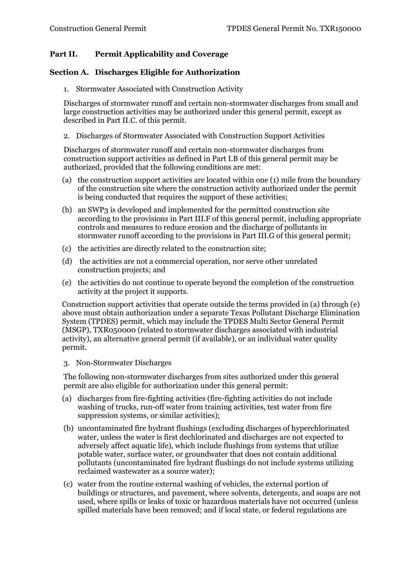# <span id="page-12-0"></span>**Part II. Permit Applicability and Coverage**

#### <span id="page-12-2"></span><span id="page-12-1"></span>**Section A. Discharges Eligible for Authorization**

1. Stormwater Associated with Construction Activity

Discharges of stormwater runoff and certain non-stormwater discharges from small and large construction activities may be authorized under this general permit, except as described in Part II.C. of this permit.

<span id="page-12-3"></span>2. Discharges of Stormwater Associated with Construction Support Activities

Discharges of stormwater runoff and certain non-stormwater discharges from construction support activities as defined in Part I.B of this general permit may be authorized, provided that the following conditions are met:

- (a) the construction support activities are located within one (1) mile from the boundary of the construction site where the construction activity authorized under the permit is being conducted that requires the support of these activities;
- (b) an SWP3 is developed and implemented for the permitted construction site according to the provisions in Part III.F of this general permit, including appropriate controls and measures to reduce erosion and the discharge of pollutants in stormwater runoff according to the provisions in Part III.G of this general permit;
- (c) the activities are directly related to the construction site;
- (d) the activities are not a commercial operation, nor serve other unrelated construction projects; and
- (e) the activities do not continue to operate beyond the completion of the construction activity at the project it supports.

Construction support activities that operate outside the terms provided in (a) through (e) above must obtain authorization under a separate Texas Pollutant Discharge Elimination System (TPDES) permit, which may include the TPDES Multi Sector General Permit (MSGP), TXR050000 (related to stormwater discharges associated with industrial activity), an alternative general permit (if available), or an individual water quality permit.

<span id="page-12-4"></span>3. Non-Stormwater Discharges

The following non-stormwater discharges from sites authorized under this general permit are also eligible for authorization under this general permit:

- (a) discharges from fire-fighting activities (fire-fighting activities do not include washing of trucks, run-off water from training activities, test water from fire suppression systems, or similar activities);
- (b) uncontaminated fire hydrant flushings (excluding discharges of hyperchlorinated water, unless the water is first dechlorinated and discharges are not expected to adversely affect aquatic life), which include flushings from systems that utilize potable water, surface water, or groundwater that does not contain additional pollutants (uncontaminated fire hydrant flushings do not include systems utilizing reclaimed wastewater as a source water);
- (c) water from the routine external washing of vehicles, the external portion of buildings or structures, and pavement, where solvents, detergents, and soaps are not used, where spills or leaks of toxic or hazardous materials have not occurred (unless spilled materials have been removed; and if local state, or federal regulations are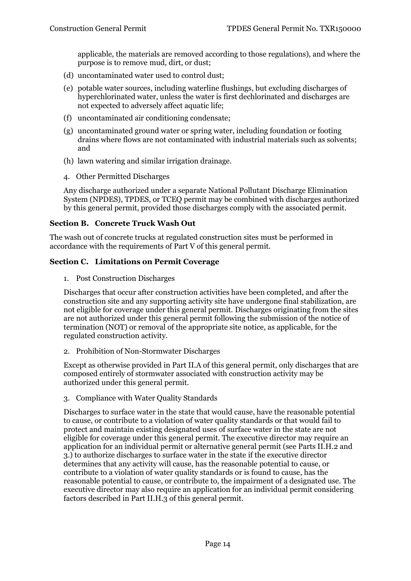applicable, the materials are removed according to those regulations), and where the purpose is to remove mud, dirt, or dust;

- (d) uncontaminated water used to control dust;
- (e) potable water sources, including waterline flushings, but excluding discharges of hyperchlorinated water, unless the water is first dechlorinated and discharges are not expected to adversely affect aquatic life;
- (f) uncontaminated air conditioning condensate;
- (g) uncontaminated ground water or spring water, including foundation or footing drains where flows are not contaminated with industrial materials such as solvents; and
- (h) lawn watering and similar irrigation drainage.
- <span id="page-13-0"></span>4. Other Permitted Discharges

Any discharge authorized under a separate National Pollutant Discharge Elimination System (NPDES), TPDES, or TCEQ permit may be combined with discharges authorized by this general permit, provided those discharges comply with the associated permit.

### <span id="page-13-1"></span>**Section B. Concrete Truck Wash Out**

The wash out of concrete trucks at regulated construction sites must be performed in accordance with the requirements of Part V of this general permit.

### <span id="page-13-3"></span><span id="page-13-2"></span>**Section C. Limitations on Permit Coverage**

1. Post Construction Discharges

Discharges that occur after construction activities have been completed, and after the construction site and any supporting activity site have undergone final stabilization, are not eligible for coverage under this general permit. Discharges originating from the sites are not authorized under this general permit following the submission of the notice of termination (NOT) or removal of the appropriate site notice, as applicable, for the regulated construction activity.

<span id="page-13-4"></span>2. Prohibition of Non-Stormwater Discharges

Except as otherwise provided in Part II.A of this general permit, only discharges that are composed entirely of stormwater associated with construction activity may be authorized under this general permit.

<span id="page-13-5"></span>3. Compliance with Water Quality Standards

Discharges to surface water in the state that would cause, have the reasonable potential to cause, or contribute to a violation of water quality standards or that would fail to protect and maintain existing designated uses of surface water in the state are not eligible for coverage under this general permit. The executive director may require an application for an individual permit or alternative general permit (see Parts II.H.2 and 3.) to authorize discharges to surface water in the state if the executive director determines that any activity will cause, has the reasonable potential to cause, or contribute to a violation of water quality standards or is found to cause, has the reasonable potential to cause, or contribute to, the impairment of a designated use. The executive director may also require an application for an individual permit considering factors described in Part II.H.3 of this general permit.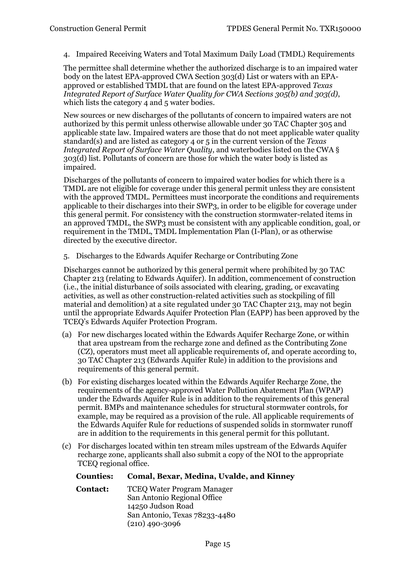<span id="page-14-0"></span>4. Impaired Receiving Waters and Total Maximum Daily Load (TMDL) Requirements

The permittee shall determine whether the authorized discharge is to an impaired water body on the latest EPA-approved CWA Section 303(d) List or waters with an EPAapproved or established TMDL that are found on the latest EPA-approved *Texas Integrated Report of Surface Water Quality for CWA Sections 305(b) and 303(d)*, which lists the category 4 and 5 water bodies.

New sources or new discharges of the pollutants of concern to impaired waters are not authorized by this permit unless otherwise allowable under 30 TAC Chapter 305 and applicable state law. Impaired waters are those that do not meet applicable water quality standard(s) and are listed as category 4 or 5 in the current version of the *Texas Integrated Report of Surface Water Quality*, and waterbodies listed on the CWA § 303(d) list. Pollutants of concern are those for which the water body is listed as impaired.

Discharges of the pollutants of concern to impaired water bodies for which there is a TMDL are not eligible for coverage under this general permit unless they are consistent with the approved TMDL. Permittees must incorporate the conditions and requirements applicable to their discharges into their SWP3, in order to be eligible for coverage under this general permit. For consistency with the construction stormwater-related items in an approved TMDL, the SWP3 must be consistent with any applicable condition, goal, or requirement in the TMDL, TMDL Implementation Plan (I-Plan), or as otherwise directed by the executive director.

<span id="page-14-1"></span>5. Discharges to the Edwards Aquifer Recharge or Contributing Zone

Discharges cannot be authorized by this general permit where prohibited by 30 TAC Chapter 213 (relating to Edwards Aquifer). In addition, commencement of construction (i.e., the initial disturbance of soils associated with clearing, grading, or excavating activities, as well as other construction-related activities such as stockpiling of fill material and demolition) at a site regulated under 30 TAC Chapter 213, may not begin until the appropriate Edwards Aquifer Protection Plan (EAPP) has been approved by the TCEQ's Edwards Aquifer Protection Program.

- (a) For new discharges located within the Edwards Aquifer Recharge Zone, or within that area upstream from the recharge zone and defined as the Contributing Zone (CZ), operators must meet all applicable requirements of, and operate according to, 30 TAC Chapter 213 (Edwards Aquifer Rule) in addition to the provisions and requirements of this general permit.
- (b) For existing discharges located within the Edwards Aquifer Recharge Zone, the requirements of the agency-approved Water Pollution Abatement Plan (WPAP) under the Edwards Aquifer Rule is in addition to the requirements of this general permit. BMPs and maintenance schedules for structural stormwater controls, for example, may be required as a provision of the rule. All applicable requirements of the Edwards Aquifer Rule for reductions of suspended solids in stormwater runoff are in addition to the requirements in this general permit for this pollutant.
- (c) For discharges located within ten stream miles upstream of the Edwards Aquifer recharge zone, applicants shall also submit a copy of the NOI to the appropriate TCEQ regional office.

#### **Counties: Comal, Bexar, Medina, Uvalde, and Kinney**

**Contact:** TCEQ Water Program Manager San Antonio Regional Office 14250 Judson Road San Antonio, Texas 78233-4480 (210) 490-3096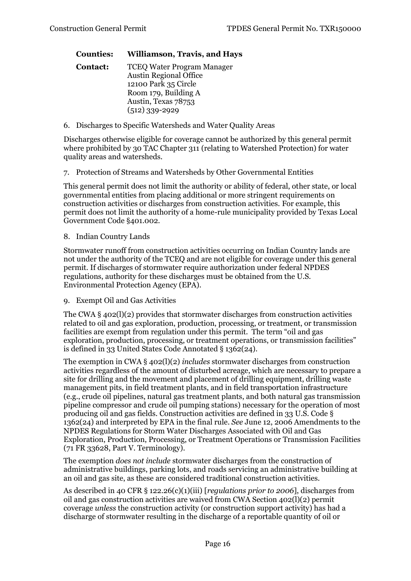#### **Counties: Williamson, Travis, and Hays**

- **Contact:** TCEQ Water Program Manager Austin Regional Office 12100 Park 35 Circle Room 179, Building A Austin, Texas 78753 (512) 339-2929
- <span id="page-15-0"></span>6. Discharges to Specific Watersheds and Water Quality Areas

Discharges otherwise eligible for coverage cannot be authorized by this general permit where prohibited by 30 TAC Chapter 311 (relating to Watershed Protection) for water quality areas and watersheds.

<span id="page-15-1"></span>7. Protection of Streams and Watersheds by Other Governmental Entities

This general permit does not limit the authority or ability of federal, other state, or local governmental entities from placing additional or more stringent requirements on construction activities or discharges from construction activities. For example, this permit does not limit the authority of a home-rule municipality provided by Texas Local Government Code §401.002.

#### <span id="page-15-2"></span>8. Indian Country Lands

Stormwater runoff from construction activities occurring on Indian Country lands are not under the authority of the TCEQ and are not eligible for coverage under this general permit. If discharges of stormwater require authorization under federal NPDES regulations, authority for these discharges must be obtained from the U.S. Environmental Protection Agency (EPA).

<span id="page-15-3"></span>9. Exempt Oil and Gas Activities

The CWA § 402(l)(2) provides that stormwater discharges from construction activities related to oil and gas exploration, production, processing, or treatment, or transmission facilities are exempt from regulation under this permit. The term "oil and gas exploration, production, processing, or treatment operations, or transmission facilities" is defined in 33 United States Code Annotated § 1362(24).

The exemption in CWA § 402(l)(2) *includes* stormwater discharges from construction activities regardless of the amount of disturbed acreage, which are necessary to prepare a site for drilling and the movement and placement of drilling equipment, drilling waste management pits, in field treatment plants, and in field transportation infrastructure (e.g., crude oil pipelines, natural gas treatment plants, and both natural gas transmission pipeline compressor and crude oil pumping stations) necessary for the operation of most producing oil and gas fields. Construction activities are defined in 33 U.S. Code § 1362(24) and interpreted by EPA in the final rule. *See* [June 12, 2006 Amendments to the](https://www.epa.gov/sites/production/files/2015-11/documents/final_oil_gas_rule.pdf)  NPDES Regulations for Storm [Water Discharges Associated with Oil and Gas](https://www.epa.gov/sites/production/files/2015-11/documents/final_oil_gas_rule.pdf)  [Exploration,](https://www.epa.gov/sites/production/files/2015-11/documents/final_oil_gas_rule.pdf) Production, Processing, or Treatment Operations or Transmission Facilities (71 FR 33628, Part V. Terminology).

<span id="page-15-4"></span>The exemption *does not include* stormwater discharges from the construction of administrative buildings, parking lots, and roads servicing an administrative building at an oil and gas site, as these are considered traditional construction activities.

As described in 40 CFR § 122.26(c)(1)(iii) [*regulations prior to 2006*], discharges from oil and gas construction activities are waived from CWA Section 402(l)(2) permit coverage *unless* the construction activity (or construction support activity) has had a discharge of stormwater resulting in the discharge of a reportable quantity of oil or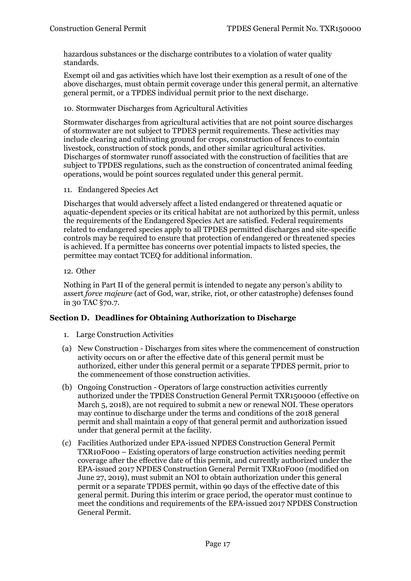hazardous substances or the discharge contributes to a violation of water quality standards.

Exempt oil and gas activities which have lost their exemption as a result of one of the above discharges, must obtain permit coverage under this general permit, an alternative general permit, or a TPDES individual permit prior to the next discharge.

#### 10. Stormwater Discharges from Agricultural Activities

Stormwater discharges from agricultural activities that are not point source discharges of stormwater are not subject to TPDES permit requirements. These activities may include clearing and cultivating ground for crops, construction of fences to contain livestock, construction of stock ponds, and other similar agricultural activities. Discharges of stormwater runoff associated with the construction of facilities that are subject to TPDES regulations, such as the construction of concentrated animal feeding operations, would be point sources regulated under this general permit.

<span id="page-16-0"></span>11. Endangered Species Act

Discharges that would adversely affect a listed endangered or threatened aquatic or aquatic-dependent species or its critical habitat are not authorized by this permit, unless the requirements of the Endangered Species Act are satisfied. Federal requirements related to endangered species apply to all TPDES permitted discharges and site-specific controls may be required to ensure that protection of endangered or threatened species is achieved. If a permittee has concerns over potential impacts to listed species, the permittee may contact TCEQ for additional information.

#### <span id="page-16-1"></span>12. Other

Nothing in Part II of the general permit is intended to negate any person's ability to assert *force majeure* (act of God, war, strike, riot, or other catastrophe) defenses found in 30 TAC §70.7.

#### <span id="page-16-3"></span><span id="page-16-2"></span>**Section D. Deadlines for Obtaining Authorization to Discharge**

- 1. Large Construction Activities
- (a) New Construction Discharges from sites where the commencement of construction activity occurs on or after the effective date of this general permit must be authorized, either under this general permit or a separate TPDES permit, prior to the commencement of those construction activities.
- (b) Ongoing Construction Operators of large construction activities currently authorized under the TPDES Construction General Permit TXR150000 (effective on March 5, 2018), are not required to submit a new or renewal NOI. These operators may continue to discharge under the terms and conditions of the 2018 general permit and shall maintain a copy of that general permit and authorization issued under that general permit at the facility.
- (c) Facilities Authorized under EPA-issued NPDES Construction General Permit TXR10F000 – Existing operators of large construction activities needing permit coverage after the effective date of this permit, and currently authorized under the EPA-issued 2017 NPDES Construction General Permit TXR10F000 (modified on June 27, 2019), must submit an NOI to obtain authorization under this general permit or a separate TPDES permit, within 90 days of the effective date of this general permit. During this interim or grace period, the operator must continue to meet the conditions and requirements of the EPA-issued 2017 NPDES Construction General Permit.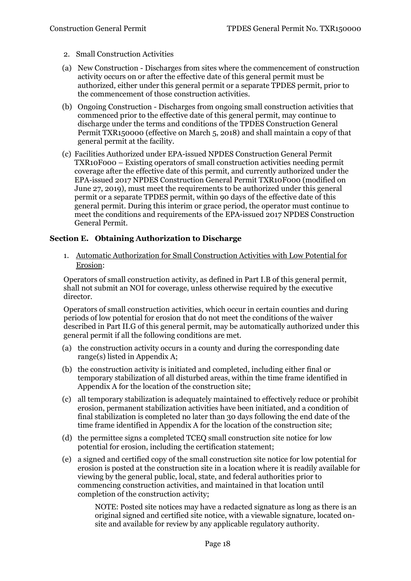- <span id="page-17-0"></span>2. Small Construction Activities
- (a) New Construction Discharges from sites where the commencement of construction activity occurs on or after the effective date of this general permit must be authorized, either under this general permit or a separate TPDES permit, prior to the commencement of those construction activities.
- (b) Ongoing Construction Discharges from ongoing small construction activities that commenced prior to the effective date of this general permit, may continue to discharge under the terms and conditions of the TPDES Construction General Permit TXR150000 (effective on March 5, 2018) and shall maintain a copy of that general permit at the facility.
- (c) Facilities Authorized under EPA-issued NPDES Construction General Permit TXR10F000 – Existing operators of small construction activities needing permit coverage after the effective date of this permit, and currently authorized under the EPA-issued 2017 NPDES Construction General Permit TXR10F000 (modified on June 27, 2019), must meet the requirements to be authorized under this general permit or a separate TPDES permit, within 90 days of the effective date of this general permit. During this interim or grace period, the operator must continue to meet the conditions and requirements of the EPA-issued 2017 NPDES Construction General Permit.

#### <span id="page-17-2"></span><span id="page-17-1"></span>**Section E. Obtaining Authorization to Discharge**

1. Automatic Authorization for Small Construction Activities with Low Potential for Erosion:

Operators of small construction activity, as defined in Part I.B of this general permit, shall not submit an NOI for coverage, unless otherwise required by the executive director.

Operators of small construction activities, which occur in certain counties and during periods of low potential for erosion that do not meet the conditions of the waiver described in Part II.G of this general permit, may be automatically authorized under this general permit if all the following conditions are met.

- (a) the construction activity occurs in a county and during the corresponding date range(s) listed in Appendix A;
- (b) the construction activity is initiated and completed, including either final or temporary stabilization of all disturbed areas, within the time frame identified in Appendix A for the location of the construction site;
- (c) all temporary stabilization is adequately maintained to effectively reduce or prohibit erosion, permanent stabilization activities have been initiated, and a condition of final stabilization is completed no later than 30 days following the end date of the time frame identified in Appendix A for the location of the construction site;
- (d) the permittee signs a completed TCEQ small construction site notice for low potential for erosion, including the certification statement;
- (e) a signed and certified copy of the small construction site notice for low potential for erosion is posted at the construction site in a location where it is readily available for viewing by the general public, local, state, and federal authorities prior to commencing construction activities, and maintained in that location until completion of the construction activity;

NOTE: Posted site notices may have a redacted signature as long as there is an original signed and certified site notice, with a viewable signature, located onsite and available for review by any applicable regulatory authority.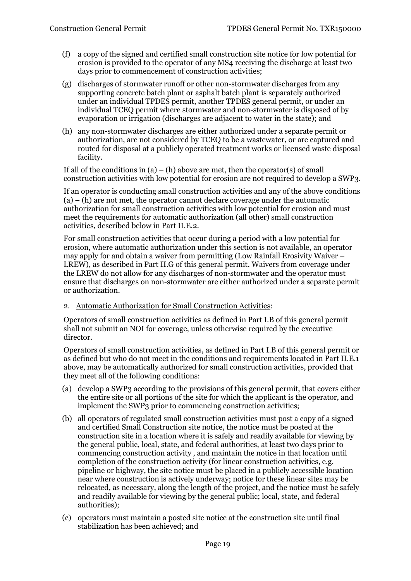- (f) a copy of the signed and certified small construction site notice for low potential for erosion is provided to the operator of any MS4 receiving the discharge at least two days prior to commencement of construction activities;
- (g) discharges of stormwater runoff or other non-stormwater discharges from any supporting concrete batch plant or asphalt batch plant is separately authorized under an individual TPDES permit, another TPDES general permit, or under an individual TCEQ permit where stormwater and non-stormwater is disposed of by evaporation or irrigation (discharges are adjacent to water in the state); and
- (h) any non-stormwater discharges are either authorized under a separate permit or authorization, are not considered by TCEQ to be a wastewater, or are captured and routed for disposal at a publicly operated treatment works or licensed waste disposal facility.

If all of the conditions in  $(a) - (h)$  above are met, then the operator(s) of small construction activities with low potential for erosion are not required to develop a SWP3.

If an operator is conducting small construction activities and any of the above conditions  $(a) - (h)$  are not met, the operator cannot declare coverage under the automatic authorization for small construction activities with low potential for erosion and must meet the requirements for automatic authorization (all other) small construction activities, described below in Part II.E.2.

For small construction activities that occur during a period with a low potential for erosion, where automatic authorization under this section is not available, an operator may apply for and obtain a waiver from permitting (Low Rainfall Erosivity Waiver – LREW), as described in Part II.G of this general permit. Waivers from coverage under the LREW do not allow for any discharges of non-stormwater and the operator must ensure that discharges on non-stormwater are either authorized under a separate permit or authorization.

<span id="page-18-0"></span>2. Automatic Authorization for Small Construction Activities:

Operators of small construction activities as defined in Part I.B of this general permit shall not submit an NOI for coverage, unless otherwise required by the executive director.

Operators of small construction activities, as defined in Part I.B of this general permit or as defined but who do not meet in the conditions and requirements located in Part II.E.1 above, may be automatically authorized for small construction activities, provided that they meet all of the following conditions:

- (a) develop a SWP3 according to the provisions of this general permit, that covers either the entire site or all portions of the site for which the applicant is the operator, and implement the SWP3 prior to commencing construction activities;
- (b) all operators of regulated small construction activities must post a copy of a signed and certified Small Construction site notice, the notice must be posted at the construction site in a location where it is safely and readily available for viewing by the general public, local, state, and federal authorities, at least two days prior to commencing construction activity , and maintain the notice in that location until completion of the construction activity (for linear construction activities, e.g. pipeline or highway, the site notice must be placed in a publicly accessible location near where construction is actively underway; notice for these linear sites may be relocated, as necessary, along the length of the project, and the notice must be safely and readily available for viewing by the general public; local, state, and federal authorities);
- (c) operators must maintain a posted site notice at the construction site until final stabilization has been achieved; and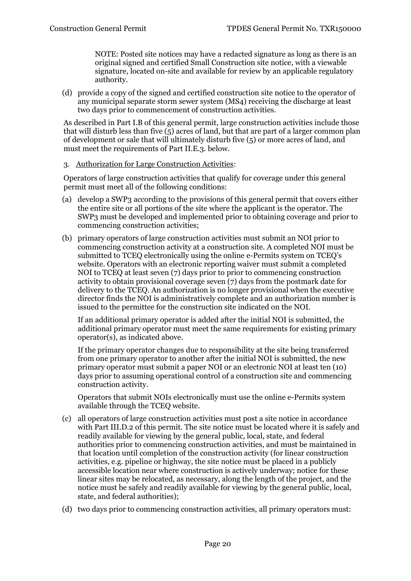NOTE: Posted site notices may have a redacted signature as long as there is an original signed and certified Small Construction site notice, with a viewable signature, located on-site and available for review by an applicable regulatory authority.

(d) provide a copy of the signed and certified construction site notice to the operator of any municipal separate storm sewer system (MS4) receiving the discharge at least two days prior to commencement of construction activities.

As described in Part I.B of this general permit, large construction activities include those that will disturb less than five (5) acres of land, but that are part of a larger common plan of development or sale that will ultimately disturb five (5) or more acres of land, and must meet the requirements of Part II.E.3. below.

#### <span id="page-19-0"></span>3. Authorization for Large Construction Activities:

Operators of large construction activities that qualify for coverage under this general permit must meet all of the following conditions:

- (a) develop a SWP3 according to the provisions of this general permit that covers either the entire site or all portions of the site where the applicant is the operator. The SWP3 must be developed and implemented prior to obtaining coverage and prior to commencing construction activities;
- (b) primary operators of large construction activities must submit an NOI prior to commencing construction activity at a construction site. A completed NOI must be submitted to TCEQ electronically using the online e-Permits system on TCEQ's website. Operators with an electronic reporting waiver must submit a completed NOI to TCEQ at least seven (7) days prior to prior to commencing construction activity to obtain provisional coverage seven (7) days from the postmark date for delivery to the TCEQ. An authorization is no longer provisional when the executive director finds the NOI is administratively complete and an authorization number is issued to the permittee for the construction site indicated on the NOI.

If an additional primary operator is added after the initial NOI is submitted, the additional primary operator must meet the same requirements for existing primary operator(s), as indicated above.

If the primary operator changes due to responsibility at the site being transferred from one primary operator to another after the initial NOI is submitted, the new primary operator must submit a paper NOI or an electronic NOI at least ten (10) days prior to assuming operational control of a construction site and commencing construction activity.

Operators that submit NOIs electronically must use the online e-Permits system available through the TCEQ website.

- (c) all operators of large construction activities must post a site notice in accordance with Part III.D.2 of this permit. The site notice must be located where it is safely and readily available for viewing by the general public, local, state, and federal authorities prior to commencing construction activities, and must be maintained in that location until completion of the construction activity (for linear construction activities, e.g. pipeline or highway, the site notice must be placed in a publicly accessible location near where construction is actively underway; notice for these linear sites may be relocated, as necessary, along the length of the project, and the notice must be safely and readily available for viewing by the general public, local, state, and federal authorities);
- (d) two days prior to commencing construction activities, all primary operators must: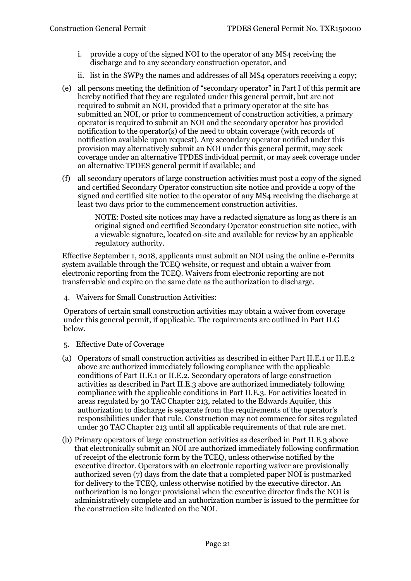- i. provide a copy of the signed NOI to the operator of any MS4 receiving the discharge and to any secondary construction operator, and
- ii. list in the SWP3 the names and addresses of all MS4 operators receiving a copy;
- (e) all persons meeting the definition of "secondary operator" in Part I of this permit are hereby notified that they are regulated under this general permit, but are not required to submit an NOI, provided that a primary operator at the site has submitted an NOI, or prior to commencement of construction activities, a primary operator is required to submit an NOI and the secondary operator has provided notification to the operator(s) of the need to obtain coverage (with records of notification available upon request). Any secondary operator notified under this provision may alternatively submit an NOI under this general permit, may seek coverage under an alternative TPDES individual permit, or may seek coverage under an alternative TPDES general permit if available; and
- (f) all secondary operators of large construction activities must post a copy of the signed and certified Secondary Operator construction site notice and provide a copy of the signed and certified site notice to the operator of any MS4 receiving the discharge at least two days prior to the commencement construction activities.

NOTE: Posted site notices may have a redacted signature as long as there is an original signed and certified Secondary Operator construction site notice, with a viewable signature, located on-site and available for review by an applicable regulatory authority.

Effective September 1, 2018, applicants must submit an NOI using the online e-Permits system available through the TCEQ website, or request and obtain a waiver from electronic reporting from the TCEQ. Waivers from electronic reporting are not transferrable and expire on the same date as the authorization to discharge.

<span id="page-20-0"></span>4. Waivers for Small Construction Activities:

Operators of certain small construction activities may obtain a waiver from coverage under this general permit, if applicable. The requirements are outlined in Part II.G below.

- <span id="page-20-1"></span>5. Effective Date of Coverage
- (a) Operators of small construction activities as described in either Part II.E.1 or II.E.2 above are authorized immediately following compliance with the applicable conditions of Part II.E.1 or II.E.2. Secondary operators of large construction activities as described in Part II.E.3 above are authorized immediately following compliance with the applicable conditions in Part II.E.3. For activities located in areas regulated by 30 TAC Chapter 213, related to the Edwards Aquifer, this authorization to discharge is separate from the requirements of the operator's responsibilities under that rule. Construction may not commence for sites regulated under 30 TAC Chapter 213 until all applicable requirements of that rule are met.
- (b) Primary operators of large construction activities as described in Part II.E.3 above that electronically submit an NOI are authorized immediately following confirmation of receipt of the electronic form by the TCEQ, unless otherwise notified by the executive director. Operators with an electronic reporting waiver are provisionally authorized seven (7) days from the date that a completed paper NOI is postmarked for delivery to the TCEQ, unless otherwise notified by the executive director. An authorization is no longer provisional when the executive director finds the NOI is administratively complete and an authorization number is issued to the permittee for the construction site indicated on the NOI.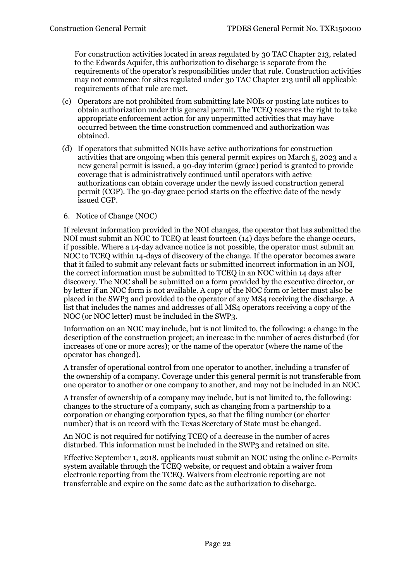For construction activities located in areas regulated by 30 TAC Chapter 213, related to the Edwards Aquifer, this authorization to discharge is separate from the requirements of the operator's responsibilities under that rule. Construction activities may not commence for sites regulated under 30 TAC Chapter 213 until all applicable requirements of that rule are met.

- (c) Operators are not prohibited from submitting late NOIs or posting late notices to obtain authorization under this general permit. The TCEQ reserves the right to take appropriate enforcement action for any unpermitted activities that may have occurred between the time construction commenced and authorization was obtained.
- (d) If operators that submitted NOIs have active authorizations for construction activities that are ongoing when this general permit expires on March 5, 2023 and a new general permit is issued, a 90-day interim (grace) period is granted to provide coverage that is administratively continued until operators with active authorizations can obtain coverage under the newly issued construction general permit (CGP). The 90-day grace period starts on the effective date of the newly issued CGP.

#### <span id="page-21-0"></span>6. Notice of Change (NOC)

If relevant information provided in the NOI changes, the operator that has submitted the NOI must submit an NOC to TCEQ at least fourteen (14) days before the change occurs, if possible. Where a 14-day advance notice is not possible, the operator must submit an NOC to TCEQ within 14-days of discovery of the change. If the operator becomes aware that it failed to submit any relevant facts or submitted incorrect information in an NOI, the correct information must be submitted to TCEQ in an NOC within 14 days after discovery. The NOC shall be submitted on a form provided by the executive director, or by letter if an NOC form is not available. A copy of the NOC form or letter must also be placed in the SWP3 and provided to the operator of any MS4 receiving the discharge. A list that includes the names and addresses of all MS4 operators receiving a copy of the NOC (or NOC letter) must be included in the SWP3.

Information on an NOC may include, but is not limited to, the following: a change in the description of the construction project; an increase in the number of acres disturbed (for increases of one or more acres); or the name of the operator (where the name of the operator has changed).

A transfer of operational control from one operator to another, including a transfer of the ownership of a company. Coverage under this general permit is not transferable from one operator to another or one company to another, and may not be included in an NOC.

A transfer of ownership of a company may include, but is not limited to, the following: changes to the structure of a company, such as changing from a partnership to a corporation or changing corporation types, so that the filing number (or charter number) that is on record with the Texas Secretary of State must be changed.

An NOC is not required for notifying TCEQ of a decrease in the number of acres disturbed. This information must be included in the SWP3 and retained on site.

Effective September 1, 2018, applicants must submit an NOC using the online e-Permits system available through the TCEQ website, or request and obtain a waiver from electronic reporting from the TCEQ. Waivers from electronic reporting are not transferrable and expire on the same date as the authorization to discharge.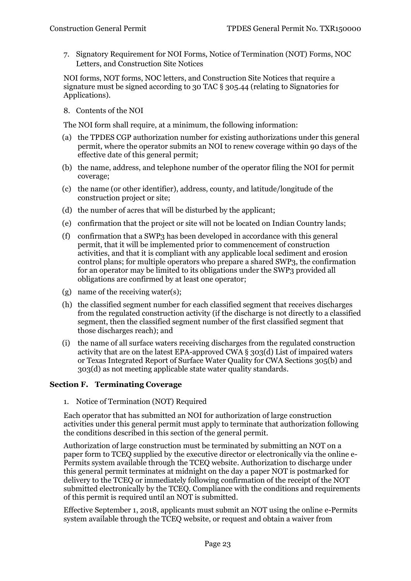<span id="page-22-0"></span>7. Signatory Requirement for NOI Forms, Notice of Termination (NOT) Forms, NOC Letters, and Construction Site Notices

NOI forms, NOT forms, NOC letters, and Construction Site Notices that require a signature must be signed according to 30 TAC § 305.44 (relating to Signatories for Applications).

<span id="page-22-1"></span>8. Contents of the NOI

The NOI form shall require, at a minimum, the following information:

- (a) the TPDES CGP authorization number for existing authorizations under this general permit, where the operator submits an NOI to renew coverage within 90 days of the effective date of this general permit;
- (b) the name, address, and telephone number of the operator filing the NOI for permit coverage;
- (c) the name (or other identifier), address, county, and latitude/longitude of the construction project or site;
- (d) the number of acres that will be disturbed by the applicant;
- (e) confirmation that the project or site will not be located on Indian Country lands;
- (f) confirmation that a SWP3 has been developed in accordance with this general permit, that it will be implemented prior to commencement of construction activities, and that it is compliant with any applicable local sediment and erosion control plans; for multiple operators who prepare a shared SWP3, the confirmation for an operator may be limited to its obligations under the SWP3 provided all obligations are confirmed by at least one operator;
- (g) name of the receiving water(s);
- (h) the classified segment number for each classified segment that receives discharges from the regulated construction activity (if the discharge is not directly to a classified segment, then the classified segment number of the first classified segment that those discharges reach); and
- (i) the name of all surface waters receiving discharges from the regulated construction activity that are on the latest EPA-approved CWA § 303(d) List of impaired waters or Texas Integrated Report of Surface Water Quality for CWA Sections 305(b) and 303(d) as not meeting applicable state water quality standards.

#### <span id="page-22-3"></span><span id="page-22-2"></span>**Section F. Terminating Coverage**

1. Notice of Termination (NOT) Required

Each operator that has submitted an NOI for authorization of large construction activities under this general permit must apply to terminate that authorization following the conditions described in this section of the general permit.

Authorization of large construction must be terminated by submitting an NOT on a paper form to TCEQ supplied by the executive director or electronically via the online e-Permits system available through the TCEQ website. Authorization to discharge under this general permit terminates at midnight on the day a paper NOT is postmarked for delivery to the TCEQ or immediately following confirmation of the receipt of the NOT submitted electronically by the TCEQ. Compliance with the conditions and requirements of this permit is required until an NOT is submitted.

Effective September 1, 2018, applicants must submit an NOT using the online e-Permits system available through the TCEQ website, or request and obtain a waiver from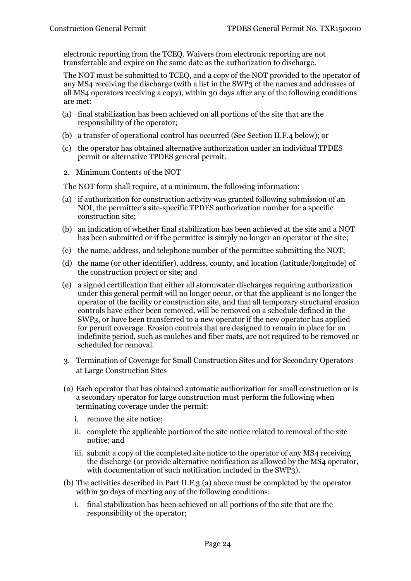electronic reporting from the TCEQ. Waivers from electronic reporting are not transferrable and expire on the same date as the authorization to discharge.

The NOT must be submitted to TCEQ, and a copy of the NOT provided to the operator of any MS4 receiving the discharge (with a list in the SWP3 of the names and addresses of all MS4 operators receiving a copy), within 30 days after any of the following conditions are met:

- (a) final stabilization has been achieved on all portions of the site that are the responsibility of the operator;
- (b) a transfer of operational control has occurred (See Section II.F.4 below); or
- (c) the operator has obtained alternative authorization under an individual TPDES permit or alternative TPDES general permit.
- <span id="page-23-0"></span>2. Minimum Contents of the NOT

The NOT form shall require, at a minimum, the following information:

- (a) if authorization for construction activity was granted following submission of an NOI, the permittee's site-specific TPDES authorization number for a specific construction site;
- (b) an indication of whether final stabilization has been achieved at the site and a NOT has been submitted or if the permittee is simply no longer an operator at the site;
- (c) the name, address, and telephone number of the permittee submitting the NOT;
- (d) the name (or other identifier), address, county, and location (latitude/longitude) of the construction project or site; and
- (e) a signed certification that either all stormwater discharges requiring authorization under this general permit will no longer occur, or that the applicant is no longer the operator of the facility or construction site, and that all temporary structural erosion controls have either been removed, will be removed on a schedule defined in the SWP3, or have been transferred to a new operator if the new operator has applied for permit coverage. Erosion controls that are designed to remain in place for an indefinite period, such as mulches and fiber mats, are not required to be removed or scheduled for removal.
- <span id="page-23-1"></span>3. Termination of Coverage for Small Construction Sites and for Secondary Operators at Large Construction Sites
- (a) Each operator that has obtained automatic authorization for small construction or is a secondary operator for large construction must perform the following when terminating coverage under the permit:
	- i. remove the site notice;
	- ii. complete the applicable portion of the site notice related to removal of the site notice; and
	- iii. submit a copy of the completed site notice to the operator of any MS4 receiving the discharge (or provide alternative notification as allowed by the MS4 operator, with documentation of such notification included in the SWP3).
- (b) The activities described in Part II.F.3.(a) above must be completed by the operator within 30 days of meeting any of the following conditions:
	- i. final stabilization has been achieved on all portions of the site that are the responsibility of the operator;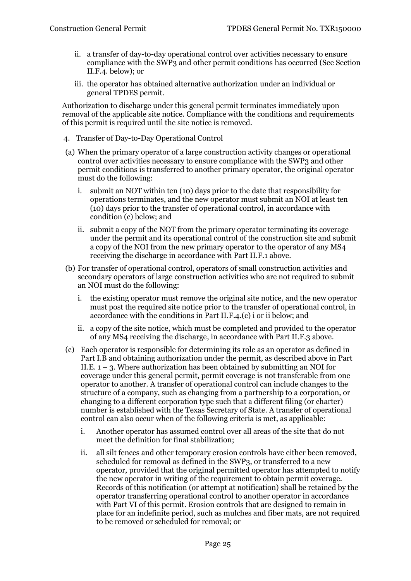- ii. a transfer of day-to-day operational control over activities necessary to ensure compliance with the SWP3 and other permit conditions has occurred (See Section II.F.4. below); or
- iii. the operator has obtained alternative authorization under an individual or general TPDES permit.

Authorization to discharge under this general permit terminates immediately upon removal of the applicable site notice. Compliance with the conditions and requirements of this permit is required until the site notice is removed.

- <span id="page-24-0"></span>4. Transfer of Day-to-Day Operational Control
- (a) When the primary operator of a large construction activity changes or operational control over activities necessary to ensure compliance with the SWP3 and other permit conditions is transferred to another primary operator, the original operator must do the following:
	- i. submit an NOT within ten (10) days prior to the date that responsibility for operations terminates, and the new operator must submit an NOI at least ten (10) days prior to the transfer of operational control, in accordance with condition (c) below; and
	- ii. submit a copy of the NOT from the primary operator terminating its coverage under the permit and its operational control of the construction site and submit a copy of the NOI from the new primary operator to the operator of any MS4 receiving the discharge in accordance with Part II.F.1 above.
- (b) For transfer of operational control, operators of small construction activities and secondary operators of large construction activities who are not required to submit an NOI must do the following:
	- i. the existing operator must remove the original site notice, and the new operator must post the required site notice prior to the transfer of operational control, in accordance with the conditions in Part II.F.4.(c) i or ii below; and
	- ii. a copy of the site notice, which must be completed and provided to the operator of any MS4 receiving the discharge, in accordance with Part II.F.3 above.
- (c) Each operator is responsible for determining its role as an operator as defined in Part I.B and obtaining authorization under the permit, as described above in Part II.E.  $1 - 3$ . Where authorization has been obtained by submitting an NOI for coverage under this general permit, permit coverage is not transferable from one operator to another. A transfer of operational control can include changes to the structure of a company, such as changing from a partnership to a corporation, or changing to a different corporation type such that a different filing (or charter) number is established with the Texas Secretary of State. A transfer of operational control can also occur when of the following criteria is met, as applicable:
	- i. Another operator has assumed control over all areas of the site that do not meet the definition for final stabilization;
	- ii. all silt fences and other temporary erosion controls have either been removed, scheduled for removal as defined in the SWP3, or transferred to a new operator, provided that the original permitted operator has attempted to notify the new operator in writing of the requirement to obtain permit coverage. Records of this notification (or attempt at notification) shall be retained by the operator transferring operational control to another operator in accordance with Part VI of this permit. Erosion controls that are designed to remain in place for an indefinite period, such as mulches and fiber mats, are not required to be removed or scheduled for removal; or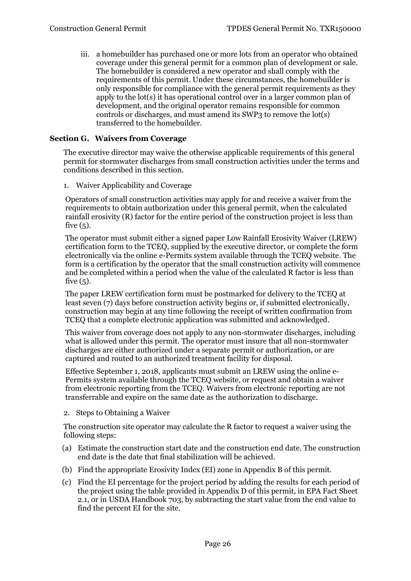iii. a homebuilder has purchased one or more lots from an operator who obtained coverage under this general permit for a common plan of development or sale. The homebuilder is considered a new operator and shall comply with the requirements of this permit. Under these circumstances, the homebuilder is only responsible for compliance with the general permit requirements as they apply to the lot(s) it has operational control over in a larger common plan of development, and the original operator remains responsible for common controls or discharges, and must amend its SWP3 to remove the lot(s) transferred to the homebuilder.

#### <span id="page-25-0"></span>**Section G. Waivers from Coverage**

The executive director may waive the otherwise applicable requirements of this general permit for stormwater discharges from small construction activities under the terms and conditions described in this section.

<span id="page-25-1"></span>1. Waiver Applicability and Coverage

Operators of small construction activities may apply for and receive a waiver from the requirements to obtain authorization under this general permit, when the calculated rainfall erosivity (R) factor for the entire period of the construction project is less than five (5).

The operator must submit either a signed paper Low Rainfall Erosivity Waiver (LREW) certification form to the TCEQ, supplied by the executive director, or complete the form electronically via the online e-Permits system available through the TCEQ website. The form is a certification by the operator that the small construction activity will commence and be completed within a period when the value of the calculated R factor is less than five  $(5)$ .

The paper LREW certification form must be postmarked for delivery to the TCEQ at least seven (7) days before construction activity begins or, if submitted electronically, construction may begin at any time following the receipt of written confirmation from TCEQ that a complete electronic application was submitted and acknowledged.

This waiver from coverage does not apply to any non-stormwater discharges, including what is allowed under this permit. The operator must insure that all non-stormwater discharges are either authorized under a separate permit or authorization, or are captured and routed to an authorized treatment facility for disposal.

Effective September 1, 2018, applicants must submit an LREW using the online e-Permits system available through the TCEQ website, or request and obtain a waiver from electronic reporting from the TCEQ. Waivers from electronic reporting are not transferrable and expire on the same date as the authorization to discharge.

<span id="page-25-2"></span>2. Steps to Obtaining a Waiver

The construction site operator may calculate the R factor to request a waiver using the following steps:

- (a) Estimate the construction start date and the construction end date. The construction end date is the date that final stabilization will be achieved.
- (b) Find the appropriate Erosivity Index (EI) zone in Appendix B of this permit.
- (c) Find the EI percentage for the project period by adding the results for each period of the project using the table provided in Appendix D of this permit, in EPA Fact Sheet 2.1, or in USDA Handbook 703, by subtracting the start value from the end value to find the percent EI for the site.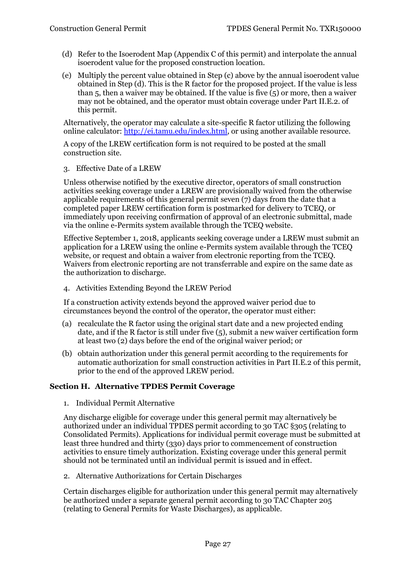- (d) Refer to the Isoerodent Map (Appendix C of this permit) and interpolate the annual isoerodent value for the proposed construction location.
- (e) Multiply the percent value obtained in Step (c) above by the annual isoerodent value obtained in Step (d). This is the R factor for the proposed project. If the value is less than 5, then a waiver may be obtained. If the value is five (5) or more, then a waiver may not be obtained, and the operator must obtain coverage under Part II.E.2. of this permit.

Alternatively, the operator may calculate a site-specific R factor utilizing the following online calculator: [http://ei.tamu.edu/index.html,](http://ei.tamu.edu/index.html) or using another available resource.

A copy of the LREW certification form is not required to be posted at the small construction site.

<span id="page-26-0"></span>3. Effective Date of a LREW

Unless otherwise notified by the executive director, operators of small construction activities seeking coverage under a LREW are provisionally waived from the otherwise applicable requirements of this general permit seven (7) days from the date that a completed paper LREW certification form is postmarked for delivery to TCEQ, or immediately upon receiving confirmation of approval of an electronic submittal, made via the online e-Permits system available through the TCEQ website.

Effective September 1, 2018, applicants seeking coverage under a LREW must submit an application for a LREW using the online e-Permits system available through the TCEQ website, or request and obtain a waiver from electronic reporting from the TCEQ. Waivers from electronic reporting are not transferrable and expire on the same date as the authorization to discharge.

<span id="page-26-1"></span>4. Activities Extending Beyond the LREW Period

If a construction activity extends beyond the approved waiver period due to circumstances beyond the control of the operator, the operator must either:

- (a) recalculate the R factor using the original start date and a new projected ending date, and if the R factor is still under five (5), submit a new waiver certification form at least two (2) days before the end of the original waiver period; or
- (b) obtain authorization under this general permit according to the requirements for automatic authorization for small construction activities in Part II.E.2 of this permit, prior to the end of the approved LREW period.

#### <span id="page-26-3"></span><span id="page-26-2"></span>**Section H. Alternative TPDES Permit Coverage**

1. Individual Permit Alternative

Any discharge eligible for coverage under this general permit may alternatively be authorized under an individual TPDES permit according to 30 TAC §305 (relating to Consolidated Permits). Applications for individual permit coverage must be submitted at least three hundred and thirty (330) days prior to commencement of construction activities to ensure timely authorization. Existing coverage under this general permit should not be terminated until an individual permit is issued and in effect.

<span id="page-26-4"></span>2. Alternative Authorizations for Certain Discharges

<span id="page-26-6"></span><span id="page-26-5"></span>Certain discharges eligible for authorization under this general permit may alternatively be authorized under a separate general permit according to 30 TAC Chapter 205 (relating to General Permits for Waste Discharges), as applicable.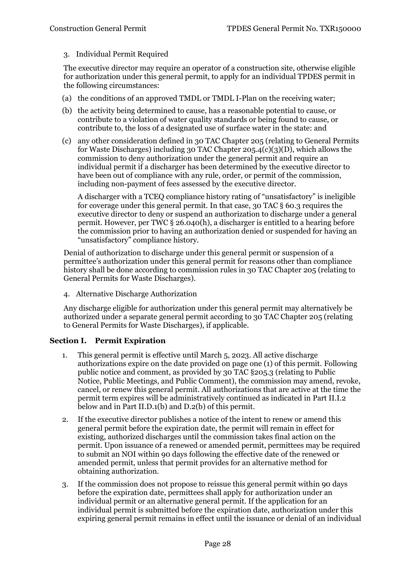#### 3. Individual Permit Required

The executive director may require an operator of a construction site, otherwise eligible for authorization under this general permit, to apply for an individual TPDES permit in the following circumstances:

- (a) the conditions of an approved TMDL or TMDL I-Plan on the receiving water;
- (b) the activity being determined to cause, has a reasonable potential to cause, or contribute to a violation of water quality standards or being found to cause, or contribute to, the loss of a designated use of surface water in the state: and
- (c) any other consideration defined in 30 TAC Chapter 205 (relating to General Permits for Waste Discharges) including 30 TAC Chapter 205.4(c)(3)(D), which allows the commission to deny authorization under the general permit and require an individual permit if a discharger has been determined by the executive director to have been out of compliance with any rule, order, or permit of the commission, including non-payment of fees assessed by the executive director.

A discharger with a TCEQ compliance history rating of "unsatisfactory" is ineligible for coverage under this general permit. In that case, 30 TAC § 60.3 requires the executive director to deny or suspend an authorization to discharge under a general permit. However, per TWC § 26.040(h), a discharger is entitled to a hearing before the commission prior to having an authorization denied or suspended for having an "unsatisfactory" compliance history.

Denial of authorization to discharge under this general permit or suspension of a permittee's authorization under this general permit for reasons other than compliance history shall be done according to commission rules in 30 TAC Chapter 205 (relating to General Permits for Waste Discharges).

<span id="page-27-0"></span>4. Alternative Discharge Authorization

Any discharge eligible for authorization under this general permit may alternatively be authorized under a separate general permit according to 30 TAC Chapter 205 (relating to General Permits for Waste Discharges), if applicable.

#### <span id="page-27-1"></span>**Section I. Permit Expiration**

- 1. This general permit is effective until March 5, 2023. All active discharge authorizations expire on the date provided on page one (1) of this permit. Following public notice and comment, as provided by 30 TAC §205.3 (relating to Public Notice, Public Meetings, and Public Comment), the commission may amend, revoke, cancel, or renew this general permit. All authorizations that are active at the time the permit term expires will be administratively continued as indicated in Part II.I.2 below and in Part II.D.1(b) and D.2(b) of this permit.
- 2. If the executive director publishes a notice of the intent to renew or amend this general permit before the expiration date, the permit will remain in effect for existing, authorized discharges until the commission takes final action on the permit. Upon issuance of a renewed or amended permit, permittees may be required to submit an NOI within 90 days following the effective date of the renewed or amended permit, unless that permit provides for an alternative method for obtaining authorization.
- 3. If the commission does not propose to reissue this general permit within 90 days before the expiration date, permittees shall apply for authorization under an individual permit or an alternative general permit. If the application for an individual permit is submitted before the expiration date, authorization under this expiring general permit remains in effect until the issuance or denial of an individual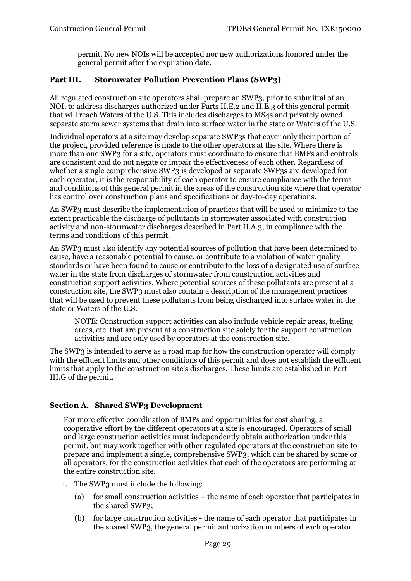permit. No new NOIs will be accepted nor new authorizations honored under the general permit after the expiration date.

# <span id="page-28-0"></span>**Part III. Stormwater Pollution Prevention Plans (SWP3)**

All regulated construction site operators shall prepare an SWP3, prior to submittal of an NOI, to address discharges authorized under Parts II.E.2 and II.E.3 of this general permit that will reach Waters of the U.S. This includes discharges to MS4s and privately owned separate storm sewer systems that drain into surface water in the state or Waters of the U.S.

Individual operators at a site may develop separate SWP3s that cover only their portion of the project, provided reference is made to the other operators at the site. Where there is more than one SWP3 for a site, operators must coordinate to ensure that BMPs and controls are consistent and do not negate or impair the effectiveness of each other. Regardless of whether a single comprehensive SWP3 is developed or separate SWP3s are developed for each operator, it is the responsibility of each operator to ensure compliance with the terms and conditions of this general permit in the areas of the construction site where that operator has control over construction plans and specifications or day-to-day operations.

An SWP3 must describe the implementation of practices that will be used to minimize to the extent practicable the discharge of pollutants in stormwater associated with construction activity and non-stormwater discharges described in Part II.A.3, in compliance with the terms and conditions of this permit.

An SWP3 must also identify any potential sources of pollution that have been determined to cause, have a reasonable potential to cause, or contribute to a violation of water quality standards or have been found to cause or contribute to the loss of a designated use of surface water in the state from discharges of stormwater from construction activities and construction support activities. Where potential sources of these pollutants are present at a construction site, the SWP3 must also contain a description of the management practices that will be used to prevent these pollutants from being discharged into surface water in the state or Waters of the U.S.

NOTE: Construction support activities can also include vehicle repair areas, fueling areas, etc. that are present at a construction site solely for the support construction activities and are only used by operators at the construction site.

The SWP3 is intended to serve as a road map for how the construction operator will comply with the effluent limits and other conditions of this permit and does not establish the effluent limits that apply to the construction site's discharges. These limits are established in Part III.G of the permit.

# <span id="page-28-1"></span>**Section A. Shared SWP3 Development**

For more effective coordination of BMPs and opportunities for cost sharing, a cooperative effort by the different operators at a site is encouraged. Operators of small and large construction activities must independently obtain authorization under this permit, but may work together with other regulated operators at the construction site to prepare and implement a single, comprehensive SWP3, which can be shared by some or all operators, for the construction activities that each of the operators are performing at the entire construction site.

- 1. The SWP3 must include the following:
	- (a) for small construction activities the name of each operator that participates in the shared SWP3;
	- (b) for large construction activities the name of each operator that participates in the shared SWP3, the general permit authorization numbers of each operator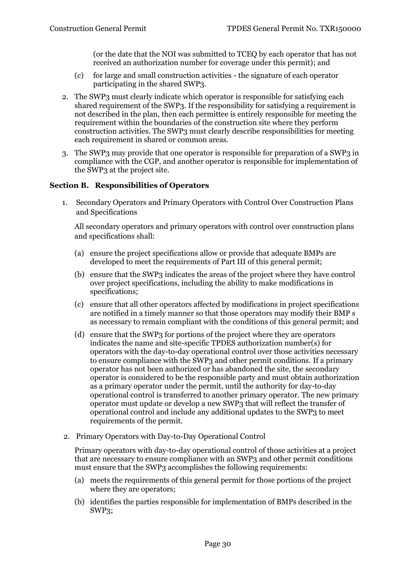(or the date that the NOI was submitted to TCEQ by each operator that has not received an authorization number for coverage under this permit); and

- (c) for large and small construction activities the signature of each operator participating in the shared SWP3.
- 2. The SWP3 must clearly indicate which operator is responsible for satisfying each shared requirement of the SWP3. If the responsibility for satisfying a requirement is not described in the plan, then each permittee is entirely responsible for meeting the requirement within the boundaries of the construction site where they perform construction activities. The SWP3 must clearly describe responsibilities for meeting each requirement in shared or common areas.
- 3. The SWP3 may provide that one operator is responsible for preparation of a SWP3 in compliance with the CGP, and another operator is responsible for implementation of the SWP3 at the project site.

#### <span id="page-29-1"></span><span id="page-29-0"></span>**Section B. Responsibilities of Operators**

1. Secondary Operators and Primary Operators with Control Over Construction Plans and Specifications

All secondary operators and primary operators with control over construction plans and specifications shall:

- (a) ensure the project specifications allow or provide that adequate BMPs are developed to meet the requirements of Part III of this general permit;
- (b) ensure that the SWP3 indicates the areas of the project where they have control over project specifications, including the ability to make modifications in specifications;
- (c) ensure that all other operators affected by modifications in project specifications are notified in a timely manner so that those operators may modify their BMP s as necessary to remain compliant with the conditions of this general permit; and
- (d) ensure that the SWP3 for portions of the project where they are operators indicates the name and site-specific TPDES authorization number(s) for operators with the day-to-day operational control over those activities necessary to ensure compliance with the SWP3 and other permit conditions. If a primary operator has not been authorized or has abandoned the site, the secondary operator is considered to be the responsible party and must obtain authorization as a primary operator under the permit, until the authority for day-to-day operational control is transferred to another primary operator. The new primary operator must update or develop a new SWP3 that will reflect the transfer of operational control and include any additional updates to the SWP3 to meet requirements of the permit.
- <span id="page-29-2"></span>2. Primary Operators with Day-to-Day Operational Control

Primary operators with day-to-day operational control of those activities at a project that are necessary to ensure compliance with an SWP3 and other permit conditions must ensure that the SWP3 accomplishes the following requirements:

- (a) meets the requirements of this general permit for those portions of the project where they are operators;
- (b) identifies the parties responsible for implementation of BMPs described in the SWP3;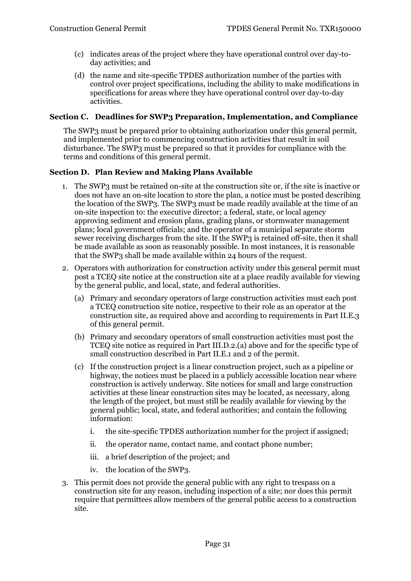- (c) indicates areas of the project where they have operational control over day-today activities; and
- (d) the name and site-specific TPDES authorization number of the parties with control over project specifications, including the ability to make modifications in specifications for areas where they have operational control over day-to-day activities.

#### <span id="page-30-0"></span>**Section C. Deadlines for SWP3 Preparation, Implementation, and Compliance**

The SWP3 must be prepared prior to obtaining authorization under this general permit, and implemented prior to commencing construction activities that result in soil disturbance. The SWP3 must be prepared so that it provides for compliance with the terms and conditions of this general permit.

### <span id="page-30-1"></span>**Section D. Plan Review and Making Plans Available**

- 1. The SWP3 must be retained on-site at the construction site or, if the site is inactive or does not have an on-site location to store the plan, a notice must be posted describing the location of the SWP3. The SWP3 must be made readily available at the time of an on-site inspection to: the executive director; a federal, state, or local agency approving sediment and erosion plans, grading plans, or stormwater management plans; local government officials; and the operator of a municipal separate storm sewer receiving discharges from the site. If the SWP3 is retained off-site, then it shall be made available as soon as reasonably possible. In most instances, it is reasonable that the SWP3 shall be made available within 24 hours of the request.
- 2. Operators with authorization for construction activity under this general permit must post a TCEQ site notice at the construction site at a place readily available for viewing by the general public, and local, state, and federal authorities.
	- (a) Primary and secondary operators of large construction activities must each post a TCEQ construction site notice, respective to their role as an operator at the construction site, as required above and according to requirements in Part II.E.3 of this general permit.
	- (b) Primary and secondary operators of small construction activities must post the TCEQ site notice as required in Part III.D.2.(a) above and for the specific type of small construction described in Part II.E.1 and 2 of the permit.
	- (c) If the construction project is a linear construction project, such as a pipeline or highway, the notices must be placed in a publicly accessible location near where construction is actively underway. Site notices for small and large construction activities at these linear construction sites may be located, as necessary, along the length of the project, but must still be readily available for viewing by the general public; local, state, and federal authorities; and contain the following information:
		- i. the site-specific TPDES authorization number for the project if assigned;
		- ii. the operator name, contact name, and contact phone number;
		- iii. a brief description of the project; and
		- iv. the location of the SWP3.
- 3. This permit does not provide the general public with any right to trespass on a construction site for any reason, including inspection of a site; nor does this permit require that permittees allow members of the general public access to a construction site.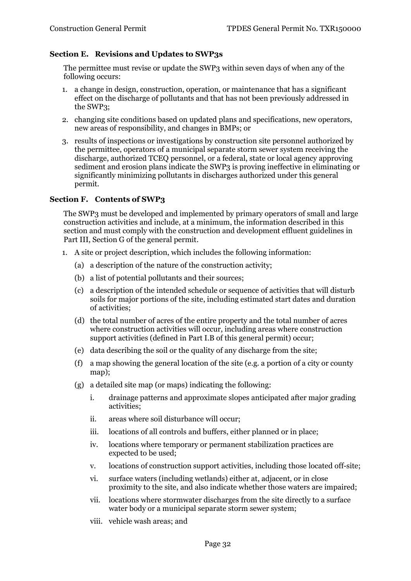### <span id="page-31-0"></span>**Section E. Revisions and Updates to SWP3s**

The permittee must revise or update the SWP3 within seven days of when any of the following occurs:

- 1. a change in design, construction, operation, or maintenance that has a significant effect on the discharge of pollutants and that has not been previously addressed in the SWP3;
- 2. changing site conditions based on updated plans and specifications, new operators, new areas of responsibility, and changes in BMPs; or
- 3. results of inspections or investigations by construction site personnel authorized by the permittee, operators of a municipal separate storm sewer system receiving the discharge, authorized TCEQ personnel, or a federal, state or local agency approving sediment and erosion plans indicate the SWP3 is proving ineffective in eliminating or significantly minimizing pollutants in discharges authorized under this general permit.

#### <span id="page-31-1"></span>**Section F. Contents of SWP3**

The SWP3 must be developed and implemented by primary operators of small and large construction activities and include, at a minimum, the information described in this section and must comply with the construction and development effluent guidelines in Part III, Section G of the general permit.

- 1. A site or project description, which includes the following information:
	- (a) a description of the nature of the construction activity;
	- (b) a list of potential pollutants and their sources;
	- (c) a description of the intended schedule or sequence of activities that will disturb soils for major portions of the site, including estimated start dates and duration of activities;
	- (d) the total number of acres of the entire property and the total number of acres where construction activities will occur, including areas where construction support activities (defined in Part I.B of this general permit) occur;
	- (e) data describing the soil or the quality of any discharge from the site;
	- (f) a map showing the general location of the site (e.g. a portion of a city or county map);
	- (g) a detailed site map (or maps) indicating the following:
		- i. drainage patterns and approximate slopes anticipated after major grading activities;
		- ii. areas where soil disturbance will occur;
		- iii. locations of all controls and buffers, either planned or in place;
		- iv. locations where temporary or permanent stabilization practices are expected to be used;
		- v. locations of construction support activities, including those located off-site;
		- vi. surface waters (including wetlands) either at, adjacent, or in close proximity to the site, and also indicate whether those waters are impaired;
		- vii. locations where stormwater discharges from the site directly to a surface water body or a municipal separate storm sewer system;
		- viii. vehicle wash areas; and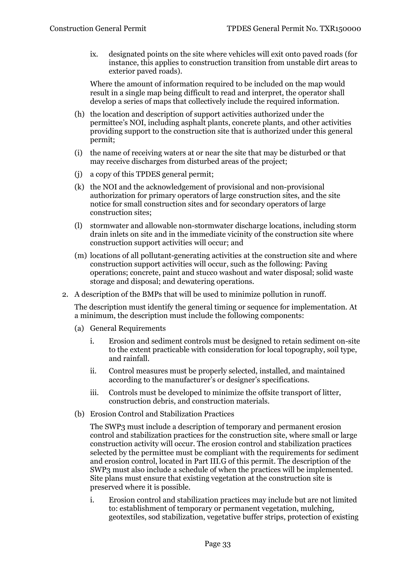ix. designated points on the site where vehicles will exit onto paved roads (for instance, this applies to construction transition from unstable dirt areas to exterior paved roads).

Where the amount of information required to be included on the map would result in a single map being difficult to read and interpret, the operator shall develop a series of maps that collectively include the required information.

- (h) the location and description of support activities authorized under the permittee's NOI, including asphalt plants, concrete plants, and other activities providing support to the construction site that is authorized under this general permit;
- (i) the name of receiving waters at or near the site that may be disturbed or that may receive discharges from disturbed areas of the project;
- (j) a copy of this TPDES general permit;
- (k) the NOI and the acknowledgement of provisional and non-provisional authorization for primary operators of large construction sites, and the site notice for small construction sites and for secondary operators of large construction sites;
- (l) stormwater and allowable non-stormwater discharge locations, including storm drain inlets on site and in the immediate vicinity of the construction site where construction support activities will occur; and
- (m) locations of all pollutant-generating activities at the construction site and where construction support activities will occur, such as the following: Paving operations; concrete, paint and stucco washout and water disposal; solid waste storage and disposal; and dewatering operations.
- 2. A description of the BMPs that will be used to minimize pollution in runoff.

The description must identify the general timing or sequence for implementation. At a minimum, the description must include the following components:

- (a) General Requirements
	- i. Erosion and sediment controls must be designed to retain sediment on-site to the extent practicable with consideration for local topography, soil type, and rainfall.
	- ii. Control measures must be properly selected, installed, and maintained according to the manufacturer's or designer's specifications.
	- iii. Controls must be developed to minimize the offsite transport of litter, construction debris, and construction materials.
- (b) Erosion Control and Stabilization Practices

The SWP3 must include a description of temporary and permanent erosion control and stabilization practices for the construction site, where small or large construction activity will occur. The erosion control and stabilization practices selected by the permittee must be compliant with the requirements for sediment and erosion control, located in Part III.G of this permit. The description of the SWP3 must also include a schedule of when the practices will be implemented. Site plans must ensure that existing vegetation at the construction site is preserved where it is possible.

i. Erosion control and stabilization practices may include but are not limited to: establishment of temporary or permanent vegetation, mulching, geotextiles, sod stabilization, vegetative buffer strips, protection of existing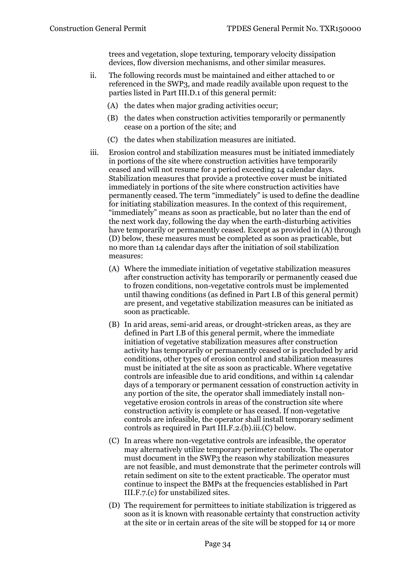trees and vegetation, slope texturing, temporary velocity dissipation devices, flow diversion mechanisms, and other similar measures.

- ii. The following records must be maintained and either attached to or referenced in the SWP3, and made readily available upon request to the parties listed in Part III.D.1 of this general permit:
	- (A) the dates when major grading activities occur;
	- (B) the dates when construction activities temporarily or permanently cease on a portion of the site; and
	- (C) the dates when stabilization measures are initiated.
- iii. Erosion control and stabilization measures must be initiated immediately in portions of the site where construction activities have temporarily ceased and will not resume for a period exceeding 14 calendar days. Stabilization measures that provide a protective cover must be initiated immediately in portions of the site where construction activities have permanently ceased. The term "immediately" is used to define the deadline for initiating stabilization measures. In the context of this requirement, "immediately" means as soon as practicable, but no later than the end of the next work day, following the day when the earth-disturbing activities have temporarily or permanently ceased. Except as provided in (A) through (D) below, these measures must be completed as soon as practicable, but no more than 14 calendar days after the initiation of soil stabilization measures:
	- (A) Where the immediate initiation of vegetative stabilization measures after construction activity has temporarily or permanently ceased due to frozen conditions, non-vegetative controls must be implemented until thawing conditions (as defined in Part I.B of this general permit) are present, and vegetative stabilization measures can be initiated as soon as practicable.
	- (B) In arid areas, semi-arid areas, or drought-stricken areas, as they are defined in Part I.B of this general permit, where the immediate initiation of vegetative stabilization measures after construction activity has temporarily or permanently ceased or is precluded by arid conditions, other types of erosion control and stabilization measures must be initiated at the site as soon as practicable. Where vegetative controls are infeasible due to arid conditions, and within 14 calendar days of a temporary or permanent cessation of construction activity in any portion of the site, the operator shall immediately install nonvegetative erosion controls in areas of the construction site where construction activity is complete or has ceased. If non-vegetative controls are infeasible, the operator shall install temporary sediment controls as required in Part III.F.2.(b).iii.(C) below.
	- (C) In areas where non-vegetative controls are infeasible, the operator may alternatively utilize temporary perimeter controls. The operator must document in the SWP3 the reason why stabilization measures are not feasible, and must demonstrate that the perimeter controls will retain sediment on site to the extent practicable. The operator must continue to inspect the BMPs at the frequencies established in Part III.F.7.(c) for unstabilized sites.
	- (D) The requirement for permittees to initiate stabilization is triggered as soon as it is known with reasonable certainty that construction activity at the site or in certain areas of the site will be stopped for 14 or more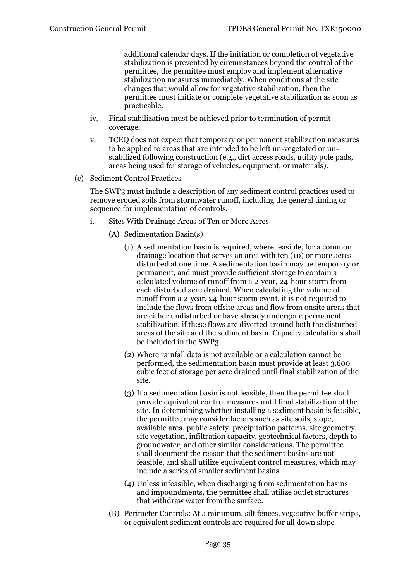additional calendar days. If the initiation or completion of vegetative stabilization is prevented by circumstances beyond the control of the permittee, the permittee must employ and implement alternative stabilization measures immediately. When conditions at the site changes that would allow for vegetative stabilization, then the permittee must initiate or complete vegetative stabilization as soon as practicable.

- iv. Final stabilization must be achieved prior to termination of permit coverage.
- v. TCEQ does not expect that temporary or permanent stabilization measures to be applied to areas that are intended to be left un-vegetated or unstabilized following construction (e.g., dirt access roads, utility pole pads, areas being used for storage of vehicles, equipment, or materials).
- (c) Sediment Control Practices

The SWP3 must include a description of any sediment control practices used to remove eroded soils from stormwater runoff, including the general timing or sequence for implementation of controls.

- i. Sites With Drainage Areas of Ten or More Acres
	- (A) Sedimentation Basin(s)
		- (1) A sedimentation basin is required, where feasible, for a common drainage location that serves an area with ten (10) or more acres disturbed at one time. A sedimentation basin may be temporary or permanent, and must provide sufficient storage to contain a calculated volume of runoff from a 2-year, 24-hour storm from each disturbed acre drained. When calculating the volume of runoff from a 2-year, 24-hour storm event, it is not required to include the flows from offsite areas and flow from onsite areas that are either undisturbed or have already undergone permanent stabilization, if these flows are diverted around both the disturbed areas of the site and the sediment basin. Capacity calculations shall be included in the SWP3.
		- (2) Where rainfall data is not available or a calculation cannot be performed, the sedimentation basin must provide at least 3,600 cubic feet of storage per acre drained until final stabilization of the site.
		- (3) If a sedimentation basin is not feasible, then the permittee shall provide equivalent control measures until final stabilization of the site. In determining whether installing a sediment basin is feasible, the permittee may consider factors such as site soils, slope, available area, public safety, precipitation patterns, site geometry, site vegetation, infiltration capacity, geotechnical factors, depth to groundwater, and other similar considerations. The permittee shall document the reason that the sediment basins are not feasible, and shall utilize equivalent control measures, which may include a series of smaller sediment basins.
		- (4) Unless infeasible, when discharging from sedimentation basins and impoundments, the permittee shall utilize outlet structures that withdraw water from the surface.
	- (B) Perimeter Controls: At a minimum, silt fences, vegetative buffer strips, or equivalent sediment controls are required for all down slope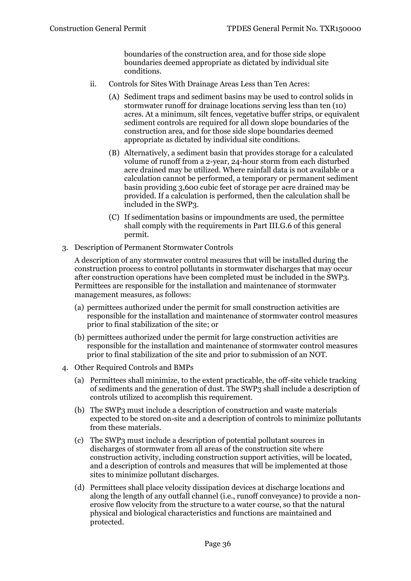boundaries of the construction area, and for those side slope boundaries deemed appropriate as dictated by individual site conditions.

- ii. Controls for Sites With Drainage Areas Less than Ten Acres:
	- (A) Sediment traps and sediment basins may be used to control solids in stormwater runoff for drainage locations serving less than ten (10) acres. At a minimum, silt fences, vegetative buffer strips, or equivalent sediment controls are required for all down slope boundaries of the construction area, and for those side slope boundaries deemed appropriate as dictated by individual site conditions.
	- (B) Alternatively, a sediment basin that provides storage for a calculated volume of runoff from a 2-year, 24-hour storm from each disturbed acre drained may be utilized. Where rainfall data is not available or a calculation cannot be performed, a temporary or permanent sediment basin providing 3,600 cubic feet of storage per acre drained may be provided. If a calculation is performed, then the calculation shall be included in the SWP3.
	- (C) If sedimentation basins or impoundments are used, the permittee shall comply with the requirements in Part III.G.6 of this general permit.
- 3. Description of Permanent Stormwater Controls

A description of any stormwater control measures that will be installed during the construction process to control pollutants in stormwater discharges that may occur after construction operations have been completed must be included in the SWP3. Permittees are responsible for the installation and maintenance of stormwater management measures, as follows:

- (a) permittees authorized under the permit for small construction activities are responsible for the installation and maintenance of stormwater control measures prior to final stabilization of the site; or
- (b) permittees authorized under the permit for large construction activities are responsible for the installation and maintenance of stormwater control measures prior to final stabilization of the site and prior to submission of an NOT.
- 4. Other Required Controls and BMPs
	- (a) Permittees shall minimize, to the extent practicable, the off-site vehicle tracking of sediments and the generation of dust. The SWP3 shall include a description of controls utilized to accomplish this requirement.
	- (b) The SWP3 must include a description of construction and waste materials expected to be stored on-site and a description of controls to minimize pollutants from these materials.
	- (c) The SWP3 must include a description of potential pollutant sources in discharges of stormwater from all areas of the construction site where construction activity, including construction support activities, will be located, and a description of controls and measures that will be implemented at those sites to minimize pollutant discharges.
	- (d) Permittees shall place velocity dissipation devices at discharge locations and along the length of any outfall channel (i.e., runoff conveyance) to provide a nonerosive flow velocity from the structure to a water course, so that the natural physical and biological characteristics and functions are maintained and protected.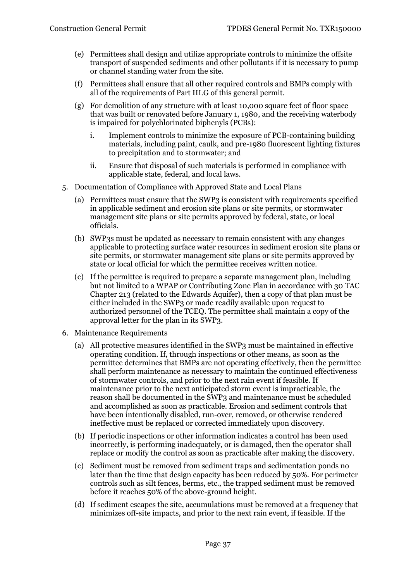- (e) Permittees shall design and utilize appropriate controls to minimize the offsite transport of suspended sediments and other pollutants if it is necessary to pump or channel standing water from the site.
- (f) Permittees shall ensure that all other required controls and BMPs comply with all of the requirements of Part III.G of this general permit.
- (g) For demolition of any structure with at least 10,000 square feet of floor space that was built or renovated before January 1, 1980, and the receiving waterbody is impaired for polychlorinated biphenyls (PCBs):
	- i. Implement controls to minimize the exposure of PCB-containing building materials, including paint, caulk, and pre-1980 fluorescent lighting fixtures to precipitation and to stormwater; and
	- ii. Ensure that disposal of such materials is performed in compliance with applicable state, federal, and local laws.
- 5. Documentation of Compliance with Approved State and Local Plans
	- (a) Permittees must ensure that the SWP3 is consistent with requirements specified in applicable sediment and erosion site plans or site permits, or stormwater management site plans or site permits approved by federal, state, or local officials.
	- (b) SWP3s must be updated as necessary to remain consistent with any changes applicable to protecting surface water resources in sediment erosion site plans or site permits, or stormwater management site plans or site permits approved by state or local official for which the permittee receives written notice.
	- (c) If the permittee is required to prepare a separate management plan, including but not limited to a WPAP or Contributing Zone Plan in accordance with 30 TAC Chapter 213 (related to the Edwards Aquifer), then a copy of that plan must be either included in the SWP3 or made readily available upon request to authorized personnel of the TCEQ. The permittee shall maintain a copy of the approval letter for the plan in its SWP3.
- 6. Maintenance Requirements
	- (a) All protective measures identified in the SWP3 must be maintained in effective operating condition. If, through inspections or other means, as soon as the permittee determines that BMPs are not operating effectively, then the permittee shall perform maintenance as necessary to maintain the continued effectiveness of stormwater controls, and prior to the next rain event if feasible. If maintenance prior to the next anticipated storm event is impracticable, the reason shall be documented in the SWP3 and maintenance must be scheduled and accomplished as soon as practicable. Erosion and sediment controls that have been intentionally disabled, run-over, removed, or otherwise rendered ineffective must be replaced or corrected immediately upon discovery.
	- (b) If periodic inspections or other information indicates a control has been used incorrectly, is performing inadequately, or is damaged, then the operator shall replace or modify the control as soon as practicable after making the discovery.
	- (c) Sediment must be removed from sediment traps and sedimentation ponds no later than the time that design capacity has been reduced by 50%. For perimeter controls such as silt fences, berms, etc., the trapped sediment must be removed before it reaches 50% of the above-ground height.
	- (d) If sediment escapes the site, accumulations must be removed at a frequency that minimizes off-site impacts, and prior to the next rain event, if feasible. If the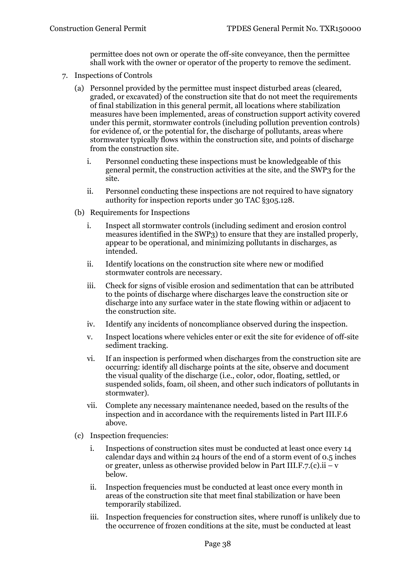permittee does not own or operate the off-site conveyance, then the permittee shall work with the owner or operator of the property to remove the sediment.

- 7. Inspections of Controls
	- (a) Personnel provided by the permittee must inspect disturbed areas (cleared, graded, or excavated) of the construction site that do not meet the requirements of final stabilization in this general permit, all locations where stabilization measures have been implemented, areas of construction support activity covered under this permit, stormwater controls (including pollution prevention controls) for evidence of, or the potential for, the discharge of pollutants, areas where stormwater typically flows within the construction site, and points of discharge from the construction site.
		- i. Personnel conducting these inspections must be knowledgeable of this general permit, the construction activities at the site, and the SWP3 for the site.
		- ii. Personnel conducting these inspections are not required to have signatory authority for inspection reports under 30 TAC §305.128.
	- (b) Requirements for Inspections
		- i. Inspect all stormwater controls (including sediment and erosion control measures identified in the SWP3) to ensure that they are installed properly, appear to be operational, and minimizing pollutants in discharges, as intended.
		- ii. Identify locations on the construction site where new or modified stormwater controls are necessary.
		- iii. Check for signs of visible erosion and sedimentation that can be attributed to the points of discharge where discharges leave the construction site or discharge into any surface water in the state flowing within or adjacent to the construction site.
		- iv. Identify any incidents of noncompliance observed during the inspection.
		- v. Inspect locations where vehicles enter or exit the site for evidence of off-site sediment tracking.
		- vi. If an inspection is performed when discharges from the construction site are occurring: identify all discharge points at the site, observe and document the visual quality of the discharge (i.e., color, odor, floating, settled, or suspended solids, foam, oil sheen, and other such indicators of pollutants in stormwater).
		- vii. Complete any necessary maintenance needed, based on the results of the inspection and in accordance with the requirements listed in Part III.F.6 above.
	- (c) Inspection frequencies:
		- i. Inspections of construction sites must be conducted at least once every 14 calendar days and within 24 hours of the end of a storm event of 0.5 inches or greater, unless as otherwise provided below in Part III.F.7.(c).ii – v below.
		- ii. Inspection frequencies must be conducted at least once every month in areas of the construction site that meet final stabilization or have been temporarily stabilized.
		- iii. Inspection frequencies for construction sites, where runoff is unlikely due to the occurrence of frozen conditions at the site, must be conducted at least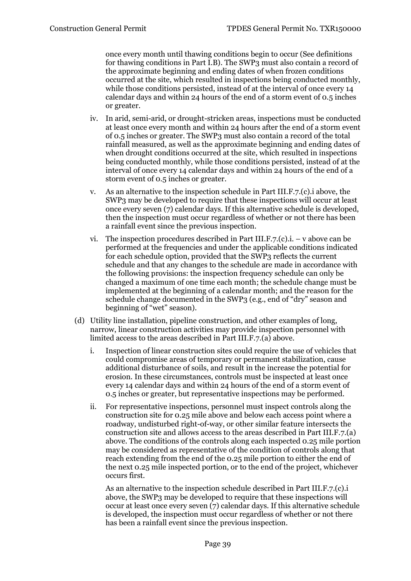once every month until thawing conditions begin to occur (See definitions for thawing conditions in Part I.B). The SWP3 must also contain a record of the approximate beginning and ending dates of when frozen conditions occurred at the site, which resulted in inspections being conducted monthly, while those conditions persisted, instead of at the interval of once every 14 calendar days and within 24 hours of the end of a storm event of 0.5 inches or greater.

- iv. In arid, semi-arid, or drought-stricken areas, inspections must be conducted at least once every month and within 24 hours after the end of a storm event of 0.5 inches or greater. The SWP3 must also contain a record of the total rainfall measured, as well as the approximate beginning and ending dates of when drought conditions occurred at the site, which resulted in inspections being conducted monthly, while those conditions persisted, instead of at the interval of once every 14 calendar days and within 24 hours of the end of a storm event of 0.5 inches or greater.
- v. As an alternative to the inspection schedule in Part III.F.7.(c).i above, the SWP3 may be developed to require that these inspections will occur at least once every seven (7) calendar days. If this alternative schedule is developed, then the inspection must occur regardless of whether or not there has been a rainfall event since the previous inspection.
- vi. The inspection procedures described in Part III.F.7. $(c)$ .i. v above can be performed at the frequencies and under the applicable conditions indicated for each schedule option, provided that the SWP3 reflects the current schedule and that any changes to the schedule are made in accordance with the following provisions: the inspection frequency schedule can only be changed a maximum of one time each month; the schedule change must be implemented at the beginning of a calendar month; and the reason for the schedule change documented in the SWP3 (e.g., end of "dry" season and beginning of "wet" season).
- (d) Utility line installation, pipeline construction, and other examples of long, narrow, linear construction activities may provide inspection personnel with limited access to the areas described in Part III.F.7.(a) above.
	- i. Inspection of linear construction sites could require the use of vehicles that could compromise areas of temporary or permanent stabilization, cause additional disturbance of soils, and result in the increase the potential for erosion. In these circumstances, controls must be inspected at least once every 14 calendar days and within 24 hours of the end of a storm event of 0.5 inches or greater, but representative inspections may be performed.
	- ii. For representative inspections, personnel must inspect controls along the construction site for 0.25 mile above and below each access point where a roadway, undisturbed right-of-way, or other similar feature intersects the construction site and allows access to the areas described in Part III.F.7.(a) above. The conditions of the controls along each inspected 0.25 mile portion may be considered as representative of the condition of controls along that reach extending from the end of the 0.25 mile portion to either the end of the next 0.25 mile inspected portion, or to the end of the project, whichever occurs first.

As an alternative to the inspection schedule described in Part III.F.7.(c).i above, the SWP3 may be developed to require that these inspections will occur at least once every seven (7) calendar days. If this alternative schedule is developed, the inspection must occur regardless of whether or not there has been a rainfall event since the previous inspection.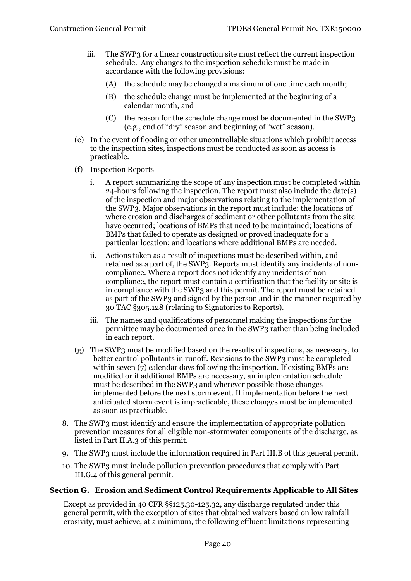- iii. The SWP3 for a linear construction site must reflect the current inspection schedule. Any changes to the inspection schedule must be made in accordance with the following provisions:
	- (A) the schedule may be changed a maximum of one time each month;
	- (B) the schedule change must be implemented at the beginning of a calendar month, and
	- (C) the reason for the schedule change must be documented in the SWP3 (e.g., end of "dry" season and beginning of "wet" season).
- (e) In the event of flooding or other uncontrollable situations which prohibit access to the inspection sites, inspections must be conducted as soon as access is practicable.
- (f) Inspection Reports
	- i. A report summarizing the scope of any inspection must be completed within 24-hours following the inspection. The report must also include the date(s) of the inspection and major observations relating to the implementation of the SWP3. Major observations in the report must include: the locations of where erosion and discharges of sediment or other pollutants from the site have occurred; locations of BMPs that need to be maintained; locations of BMPs that failed to operate as designed or proved inadequate for a particular location; and locations where additional BMPs are needed.
	- ii. Actions taken as a result of inspections must be described within, and retained as a part of, the SWP3. Reports must identify any incidents of noncompliance. Where a report does not identify any incidents of noncompliance, the report must contain a certification that the facility or site is in compliance with the SWP3 and this permit. The report must be retained as part of the SWP3 and signed by the person and in the manner required by 30 TAC §305.128 (relating to Signatories to Reports).
	- iii. The names and qualifications of personnel making the inspections for the permittee may be documented once in the SWP3 rather than being included in each report.
- (g) The SWP3 must be modified based on the results of inspections, as necessary, to better control pollutants in runoff. Revisions to the SWP3 must be completed within seven  $(7)$  calendar days following the inspection. If existing BMPs are modified or if additional BMPs are necessary, an implementation schedule must be described in the SWP3 and wherever possible those changes implemented before the next storm event. If implementation before the next anticipated storm event is impracticable, these changes must be implemented as soon as practicable.
- 8. The SWP3 must identify and ensure the implementation of appropriate pollution prevention measures for all eligible non-stormwater components of the discharge, as listed in Part II.A.3 of this permit.
- 9. The SWP3 must include the information required in Part III.B of this general permit.
- 10. The SWP3 must include pollution prevention procedures that comply with Part III.G.4 of this general permit.

# <span id="page-39-0"></span>**Section G. Erosion and Sediment Control Requirements Applicable to All Sites**

Except as provided in 40 CFR §§125.30-125.32, any discharge regulated under this general permit, with the exception of sites that obtained waivers based on low rainfall erosivity, must achieve, at a minimum, the following effluent limitations representing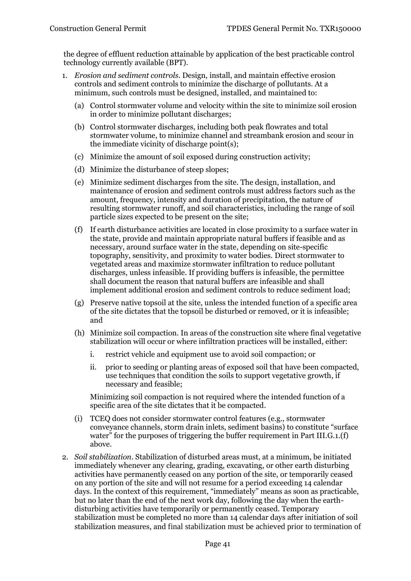the degree of effluent reduction attainable by application of the best practicable control technology currently available (BPT).

- 1. *Erosion and sediment controls*. Design, install, and maintain effective erosion controls and sediment controls to minimize the discharge of pollutants. At a minimum, such controls must be designed, installed, and maintained to:
	- (a) Control stormwater volume and velocity within the site to minimize soil erosion in order to minimize pollutant discharges;
	- (b) Control stormwater discharges, including both peak flowrates and total stormwater volume, to minimize channel and streambank erosion and scour in the immediate vicinity of discharge point(s);
	- (c) Minimize the amount of soil exposed during construction activity;
	- (d) Minimize the disturbance of steep slopes;
	- (e) Minimize sediment discharges from the site. The design, installation, and maintenance of erosion and sediment controls must address factors such as the amount, frequency, intensity and duration of precipitation, the nature of resulting stormwater runoff, and soil characteristics, including the range of soil particle sizes expected to be present on the site;
	- (f) If earth disturbance activities are located in close proximity to a surface water in the state, provide and maintain appropriate natural buffers if feasible and as necessary, around surface water in the state, depending on site-specific topography, sensitivity, and proximity to water bodies. Direct stormwater to vegetated areas and maximize stormwater infiltration to reduce pollutant discharges, unless infeasible. If providing buffers is infeasible, the permittee shall document the reason that natural buffers are infeasible and shall implement additional erosion and sediment controls to reduce sediment load;
	- (g) Preserve native topsoil at the site, unless the intended function of a specific area of the site dictates that the topsoil be disturbed or removed, or it is infeasible; and
	- (h) Minimize soil compaction. In areas of the construction site where final vegetative stabilization will occur or where infiltration practices will be installed, either:
		- i. restrict vehicle and equipment use to avoid soil compaction; or
		- ii. prior to seeding or planting areas of exposed soil that have been compacted, use techniques that condition the soils to support vegetative growth, if necessary and feasible;

Minimizing soil compaction is not required where the intended function of a specific area of the site dictates that it be compacted.

- (i) TCEQ does not consider stormwater control features (e.g., stormwater conveyance channels, storm drain inlets, sediment basins) to constitute "surface water" for the purposes of triggering the buffer requirement in Part III.G.1.(f) above.
- 2. *Soil stabilization*. Stabilization of disturbed areas must, at a minimum, be initiated immediately whenever any clearing, grading, excavating, or other earth disturbing activities have permanently ceased on any portion of the site, or temporarily ceased on any portion of the site and will not resume for a period exceeding 14 calendar days. In the context of this requirement, "immediately" means as soon as practicable, but no later than the end of the next work day, following the day when the earthdisturbing activities have temporarily or permanently ceased. Temporary stabilization must be completed no more than 14 calendar days after initiation of soil stabilization measures, and final stabilization must be achieved prior to termination of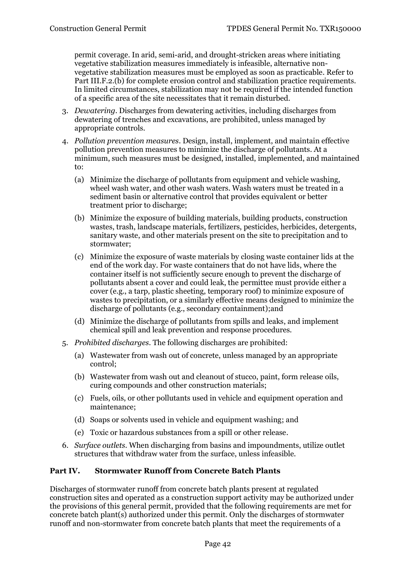permit coverage. In arid, semi-arid, and drought-stricken areas where initiating vegetative stabilization measures immediately is infeasible, alternative nonvegetative stabilization measures must be employed as soon as practicable. Refer to Part III.F.2.(b) for complete erosion control and stabilization practice requirements. In limited circumstances, stabilization may not be required if the intended function of a specific area of the site necessitates that it remain disturbed.

- 3. *Dewatering*. Discharges from dewatering activities, including discharges from dewatering of trenches and excavations, are prohibited, unless managed by appropriate controls.
- 4. *Pollution prevention measures*. Design, install, implement, and maintain effective pollution prevention measures to minimize the discharge of pollutants. At a minimum, such measures must be designed, installed, implemented, and maintained to:
	- (a) Minimize the discharge of pollutants from equipment and vehicle washing, wheel wash water, and other wash waters. Wash waters must be treated in a sediment basin or alternative control that provides equivalent or better treatment prior to discharge;
	- (b) Minimize the exposure of building materials, building products, construction wastes, trash, landscape materials, fertilizers, pesticides, herbicides, detergents, sanitary waste, and other materials present on the site to precipitation and to stormwater;
	- (c) Minimize the exposure of waste materials by closing waste container lids at the end of the work day. For waste containers that do not have lids, where the container itself is not sufficiently secure enough to prevent the discharge of pollutants absent a cover and could leak, the permittee must provide either a cover (e.g., a tarp, plastic sheeting, temporary roof) to minimize exposure of wastes to precipitation, or a similarly effective means designed to minimize the discharge of pollutants (e.g., secondary containment);and
	- (d) Minimize the discharge of pollutants from spills and leaks, and implement chemical spill and leak prevention and response procedures.
- 5. *Prohibited discharges*. The following discharges are prohibited:
	- (a) Wastewater from wash out of concrete, unless managed by an appropriate control;
	- (b) Wastewater from wash out and cleanout of stucco, paint, form release oils, curing compounds and other construction materials;
	- (c) Fuels, oils, or other pollutants used in vehicle and equipment operation and maintenance;
	- (d) Soaps or solvents used in vehicle and equipment washing; and
	- (e) Toxic or hazardous substances from a spill or other release.
- 6. *Surface outlets*. When discharging from basins and impoundments, utilize outlet structures that withdraw water from the surface, unless infeasible.

# <span id="page-41-0"></span>**Part IV. Stormwater Runoff from Concrete Batch Plants**

Discharges of stormwater runoff from concrete batch plants present at regulated construction sites and operated as a construction support activity may be authorized under the provisions of this general permit, provided that the following requirements are met for concrete batch plant(s) authorized under this permit. Only the discharges of stormwater runoff and non-stormwater from concrete batch plants that meet the requirements of a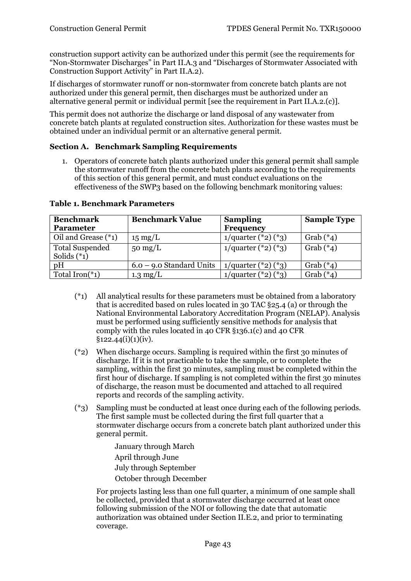construction support activity can be authorized under this permit (see the requirements for "Non-Stormwater Discharges" in Part II.A.3 and "Discharges of Stormwater Associated with Construction Support Activity" in Part II.A.2).

If discharges of stormwater runoff or non-stormwater from concrete batch plants are not authorized under this general permit, then discharges must be authorized under an alternative general permit or individual permit [see the requirement in Part II.A.2.(c)].

This permit does not authorize the discharge or land disposal of any wastewater from concrete batch plants at regulated construction sites. Authorization for these wastes must be obtained under an individual permit or an alternative general permit.

#### <span id="page-42-0"></span>**Section A. Benchmark Sampling Requirements**

1. Operators of concrete batch plants authorized under this general permit shall sample the stormwater runoff from the concrete batch plants according to the requirements of this section of this general permit, and must conduct evaluations on the effectiveness of the SWP3 based on the following benchmark monitoring values:

| <b>Benchmark</b>                         | <b>Benchmark Value</b>     | <b>Sampling</b>            | <b>Sample Type</b> |  |  |  |
|------------------------------------------|----------------------------|----------------------------|--------------------|--|--|--|
| <b>Parameter</b>                         |                            | <b>Frequency</b>           |                    |  |  |  |
| Oil and Grease (*1)                      | $15 \text{ mg/L}$          | $1$ /quarter (*2) (*3)     | Grab $(*_4)$       |  |  |  |
| <b>Total Suspended</b><br>Solids $(*_1)$ | $50 \text{ mg/L}$          | $1$ /quarter (*2) (*3)     | Grab $(*_4)$       |  |  |  |
| pH                                       | $6.0 - 9.0$ Standard Units | $1$ /quarter $(*2)$ $(*3)$ | Grab $(*_4)$       |  |  |  |
| Total Iron( $*_{1}$ )                    | $1.3 \text{ mg/L}$         | $1$ /quarter $(*2)$ $(*3)$ | Grab $(*_4)$       |  |  |  |

#### **Table 1. Benchmark Parameters**

- (\*1) All analytical results for these parameters must be obtained from a laboratory that is accredited based on rules located in 30 TAC §25.4 (a) or through the National Environmental Laboratory Accreditation Program (NELAP). Analysis must be performed using sufficiently sensitive methods for analysis that comply with the rules located in 40 CFR §136.1(c) and 40 CFR  $§122.44(i)(1)(iv).$
- (\*2) When discharge occurs. Sampling is required within the first 30 minutes of discharge. If it is not practicable to take the sample, or to complete the sampling, within the first 30 minutes, sampling must be completed within the first hour of discharge. If sampling is not completed within the first 30 minutes of discharge, the reason must be documented and attached to all required reports and records of the sampling activity.
- (\*3) Sampling must be conducted at least once during each of the following periods. The first sample must be collected during the first full quarter that a stormwater discharge occurs from a concrete batch plant authorized under this general permit.

January through March April through June July through September October through December

For projects lasting less than one full quarter, a minimum of one sample shall be collected, provided that a stormwater discharge occurred at least once following submission of the NOI or following the date that automatic authorization was obtained under Section II.E.2, and prior to terminating coverage.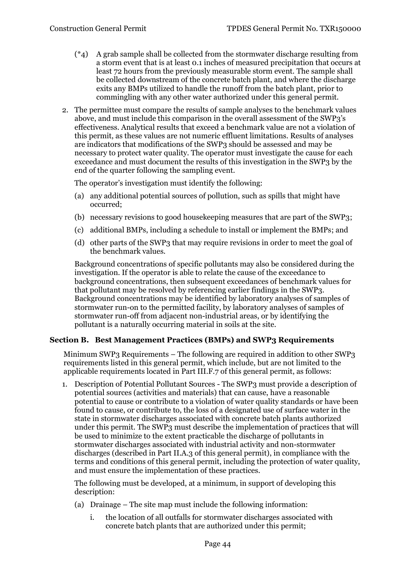- $(*4)$  A grab sample shall be collected from the stormwater discharge resulting from a storm event that is at least 0.1 inches of measured precipitation that occurs at least 72 hours from the previously measurable storm event. The sample shall be collected downstream of the concrete batch plant, and where the discharge exits any BMPs utilized to handle the runoff from the batch plant, prior to commingling with any other water authorized under this general permit.
- 2. The permittee must compare the results of sample analyses to the benchmark values above, and must include this comparison in the overall assessment of the SWP3's effectiveness. Analytical results that exceed a benchmark value are not a violation of this permit, as these values are not numeric effluent limitations. Results of analyses are indicators that modifications of the SWP3 should be assessed and may be necessary to protect water quality. The operator must investigate the cause for each exceedance and must document the results of this investigation in the SWP3 by the end of the quarter following the sampling event.

The operator's investigation must identify the following:

- (a) any additional potential sources of pollution, such as spills that might have occurred;
- (b) necessary revisions to good housekeeping measures that are part of the SWP3;
- (c) additional BMPs, including a schedule to install or implement the BMPs; and
- (d) other parts of the SWP3 that may require revisions in order to meet the goal of the benchmark values.

Background concentrations of specific pollutants may also be considered during the investigation. If the operator is able to relate the cause of the exceedance to background concentrations, then subsequent exceedances of benchmark values for that pollutant may be resolved by referencing earlier findings in the SWP3. Background concentrations may be identified by laboratory analyses of samples of stormwater run-on to the permitted facility, by laboratory analyses of samples of stormwater run-off from adjacent non-industrial areas, or by identifying the pollutant is a naturally occurring material in soils at the site.

#### <span id="page-43-0"></span>**Section B. Best Management Practices (BMPs) and SWP3 Requirements**

Minimum SWP3 Requirements – The following are required in addition to other SWP3 requirements listed in this general permit, which include, but are not limited to the applicable requirements located in Part III.F.7 of this general permit, as follows:

1. Description of Potential Pollutant Sources - The SWP3 must provide a description of potential sources (activities and materials) that can cause, have a reasonable potential to cause or contribute to a violation of water quality standards or have been found to cause, or contribute to, the loss of a designated use of surface water in the state in stormwater discharges associated with concrete batch plants authorized under this permit. The SWP<sub>3</sub> must describe the implementation of practices that will be used to minimize to the extent practicable the discharge of pollutants in stormwater discharges associated with industrial activity and non-stormwater discharges (described in Part II.A.3 of this general permit), in compliance with the terms and conditions of this general permit, including the protection of water quality, and must ensure the implementation of these practices.

The following must be developed, at a minimum, in support of developing this description:

- (a) Drainage The site map must include the following information:
	- i. the location of all outfalls for stormwater discharges associated with concrete batch plants that are authorized under this permit;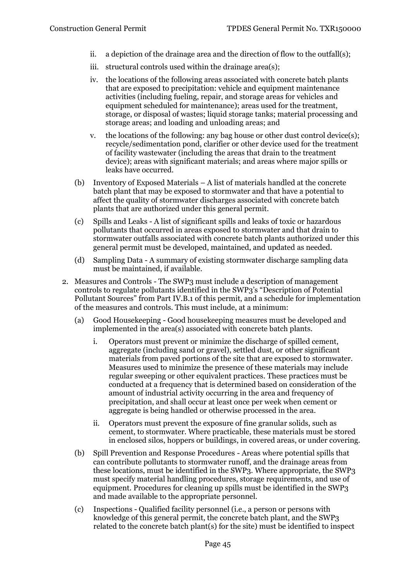- ii. a depiction of the drainage area and the direction of flow to the outfall(s);
- iii. structural controls used within the drainage area(s);
- iv. the locations of the following areas associated with concrete batch plants that are exposed to precipitation: vehicle and equipment maintenance activities (including fueling, repair, and storage areas for vehicles and equipment scheduled for maintenance); areas used for the treatment, storage, or disposal of wastes; liquid storage tanks; material processing and storage areas; and loading and unloading areas; and
- v. the locations of the following: any bag house or other dust control device(s); recycle/sedimentation pond, clarifier or other device used for the treatment of facility wastewater (including the areas that drain to the treatment device); areas with significant materials; and areas where major spills or leaks have occurred.
- (b) Inventory of Exposed Materials A list of materials handled at the concrete batch plant that may be exposed to stormwater and that have a potential to affect the quality of stormwater discharges associated with concrete batch plants that are authorized under this general permit.
- (c) Spills and Leaks A list of significant spills and leaks of toxic or hazardous pollutants that occurred in areas exposed to stormwater and that drain to stormwater outfalls associated with concrete batch plants authorized under this general permit must be developed, maintained, and updated as needed.
- (d) Sampling Data A summary of existing stormwater discharge sampling data must be maintained, if available.
- 2. Measures and Controls The SWP3 must include a description of management controls to regulate pollutants identified in the SWP3's "Description of Potential Pollutant Sources" from Part IV.B.1 of this permit, and a schedule for implementation of the measures and controls. This must include, at a minimum:
	- (a) Good Housekeeping Good housekeeping measures must be developed and implemented in the area(s) associated with concrete batch plants.
		- i. Operators must prevent or minimize the discharge of spilled cement, aggregate (including sand or gravel), settled dust, or other significant materials from paved portions of the site that are exposed to stormwater. Measures used to minimize the presence of these materials may include regular sweeping or other equivalent practices. These practices must be conducted at a frequency that is determined based on consideration of the amount of industrial activity occurring in the area and frequency of precipitation, and shall occur at least once per week when cement or aggregate is being handled or otherwise processed in the area.
		- ii. Operators must prevent the exposure of fine granular solids, such as cement, to stormwater. Where practicable, these materials must be stored in enclosed silos, hoppers or buildings, in covered areas, or under covering.
	- (b) Spill Prevention and Response Procedures Areas where potential spills that can contribute pollutants to stormwater runoff, and the drainage areas from these locations, must be identified in the SWP3. Where appropriate, the SWP3 must specify material handling procedures, storage requirements, and use of equipment. Procedures for cleaning up spills must be identified in the SWP3 and made available to the appropriate personnel.
	- (c) Inspections Qualified facility personnel (i.e., a person or persons with knowledge of this general permit, the concrete batch plant, and the SWP3 related to the concrete batch plant(s) for the site) must be identified to inspect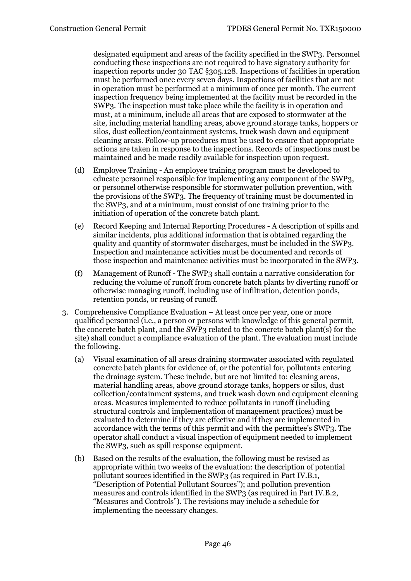designated equipment and areas of the facility specified in the SWP3. Personnel conducting these inspections are not required to have signatory authority for inspection reports under 30 TAC §305.128. Inspections of facilities in operation must be performed once every seven days. Inspections of facilities that are not in operation must be performed at a minimum of once per month. The current inspection frequency being implemented at the facility must be recorded in the SWP3. The inspection must take place while the facility is in operation and must, at a minimum, include all areas that are exposed to stormwater at the site, including material handling areas, above ground storage tanks, hoppers or silos, dust collection/containment systems, truck wash down and equipment cleaning areas. Follow-up procedures must be used to ensure that appropriate actions are taken in response to the inspections. Records of inspections must be maintained and be made readily available for inspection upon request.

- (d) Employee Training An employee training program must be developed to educate personnel responsible for implementing any component of the SWP3, or personnel otherwise responsible for stormwater pollution prevention, with the provisions of the SWP3. The frequency of training must be documented in the SWP3, and at a minimum, must consist of one training prior to the initiation of operation of the concrete batch plant.
- (e) Record Keeping and Internal Reporting Procedures A description of spills and similar incidents, plus additional information that is obtained regarding the quality and quantity of stormwater discharges, must be included in the SWP3. Inspection and maintenance activities must be documented and records of those inspection and maintenance activities must be incorporated in the SWP3.
- (f) Management of Runoff The SWP3 shall contain a narrative consideration for reducing the volume of runoff from concrete batch plants by diverting runoff or otherwise managing runoff, including use of infiltration, detention ponds, retention ponds, or reusing of runoff.
- 3. Comprehensive Compliance Evaluation At least once per year, one or more qualified personnel (i.e., a person or persons with knowledge of this general permit, the concrete batch plant, and the SWP3 related to the concrete batch plant(s) for the site) shall conduct a compliance evaluation of the plant. The evaluation must include the following.
	- (a) Visual examination of all areas draining stormwater associated with regulated concrete batch plants for evidence of, or the potential for, pollutants entering the drainage system. These include, but are not limited to: cleaning areas, material handling areas, above ground storage tanks, hoppers or silos, dust collection/containment systems, and truck wash down and equipment cleaning areas. Measures implemented to reduce pollutants in runoff (including structural controls and implementation of management practices) must be evaluated to determine if they are effective and if they are implemented in accordance with the terms of this permit and with the permittee's SWP3. The operator shall conduct a visual inspection of equipment needed to implement the SWP3, such as spill response equipment.
	- (b) Based on the results of the evaluation, the following must be revised as appropriate within two weeks of the evaluation: the description of potential pollutant sources identified in the SWP3 (as required in Part IV.B.1, "Description of Potential Pollutant Sources"); and pollution prevention measures and controls identified in the SWP3 (as required in Part IV.B.2, "Measures and Controls"). The revisions may include a schedule for implementing the necessary changes.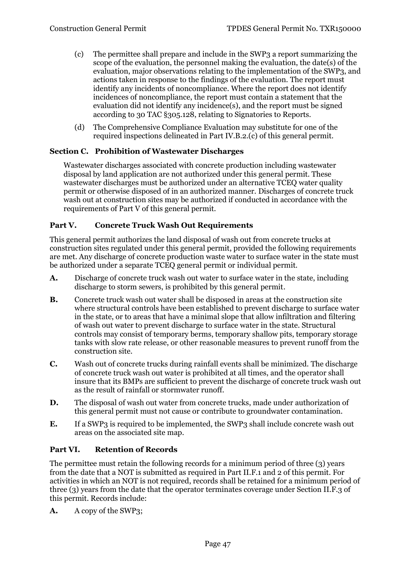- (c) The permittee shall prepare and include in the SWP3 a report summarizing the scope of the evaluation, the personnel making the evaluation, the date(s) of the evaluation, major observations relating to the implementation of the SWP3, and actions taken in response to the findings of the evaluation. The report must identify any incidents of noncompliance. Where the report does not identify incidences of noncompliance, the report must contain a statement that the evaluation did not identify any incidence(s), and the report must be signed according to 30 TAC §305.128, relating to Signatories to Reports.
- (d) The Comprehensive Compliance Evaluation may substitute for one of the required inspections delineated in Part IV.B.2.(c) of this general permit.

# <span id="page-46-0"></span>**Section C. Prohibition of Wastewater Discharges**

Wastewater discharges associated with concrete production including wastewater disposal by land application are not authorized under this general permit. These wastewater discharges must be authorized under an alternative TCEQ water quality permit or otherwise disposed of in an authorized manner. Discharges of concrete truck wash out at construction sites may be authorized if conducted in accordance with the requirements of Part V of this general permit.

### <span id="page-46-1"></span>**Part V. Concrete Truck Wash Out Requirements**

This general permit authorizes the land disposal of wash out from concrete trucks at construction sites regulated under this general permit, provided the following requirements are met. Any discharge of concrete production waste water to surface water in the state must be authorized under a separate TCEQ general permit or individual permit.

- **A.** Discharge of concrete truck wash out water to surface water in the state, including discharge to storm sewers, is prohibited by this general permit.
- **B.** Concrete truck wash out water shall be disposed in areas at the construction site where structural controls have been established to prevent discharge to surface water in the state, or to areas that have a minimal slope that allow infiltration and filtering of wash out water to prevent discharge to surface water in the state. Structural controls may consist of temporary berms, temporary shallow pits, temporary storage tanks with slow rate release, or other reasonable measures to prevent runoff from the construction site.
- **C.** Wash out of concrete trucks during rainfall events shall be minimized. The discharge of concrete truck wash out water is prohibited at all times, and the operator shall insure that its BMPs are sufficient to prevent the discharge of concrete truck wash out as the result of rainfall or stormwater runoff.
- **D.** The disposal of wash out water from concrete trucks, made under authorization of this general permit must not cause or contribute to groundwater contamination.
- **E.** If a SWP3 is required to be implemented, the SWP3 shall include concrete wash out areas on the associated site map.

# <span id="page-46-2"></span>**Part VI. Retention of Records**

The permittee must retain the following records for a minimum period of three (3) years from the date that a NOT is submitted as required in Part II.F.1 and 2 of this permit. For activities in which an NOT is not required, records shall be retained for a minimum period of three (3) years from the date that the operator terminates coverage under Section II.F.3 of this permit. Records include:

**A.** A copy of the SWP3;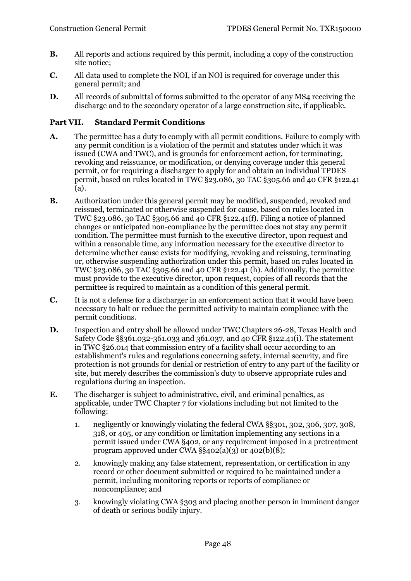- **B.** All reports and actions required by this permit, including a copy of the construction site notice;
- **C.** All data used to complete the NOI, if an NOI is required for coverage under this general permit; and
- **D.** All records of submittal of forms submitted to the operator of any MS4 receiving the discharge and to the secondary operator of a large construction site, if applicable.

# <span id="page-47-0"></span>**Part VII. Standard Permit Conditions**

- **A.** The permittee has a duty to comply with all permit conditions. Failure to comply with any permit condition is a violation of the permit and statutes under which it was issued (CWA and TWC), and is grounds for enforcement action, for terminating, revoking and reissuance, or modification, or denying coverage under this general permit, or for requiring a discharger to apply for and obtain an individual TPDES permit, based on rules located in TWC §23.086, 30 TAC §305.66 and 40 CFR §122.41 (a).
- **B.** Authorization under this general permit may be modified, suspended, revoked and reissued, terminated or otherwise suspended for cause, based on rules located in TWC §23.086, 30 TAC §305.66 and 40 CFR §122.41(f). Filing a notice of planned changes or anticipated non-compliance by the permittee does not stay any permit condition. The permittee must furnish to the executive director, upon request and within a reasonable time, any information necessary for the executive director to determine whether cause exists for modifying, revoking and reissuing, terminating or, otherwise suspending authorization under this permit, based on rules located in TWC §23.086, 30 TAC §305.66 and 40 CFR §122.41 (h). Additionally, the permittee must provide to the executive director, upon request, copies of all records that the permittee is required to maintain as a condition of this general permit.
- **C.** It is not a defense for a discharger in an enforcement action that it would have been necessary to halt or reduce the permitted activity to maintain compliance with the permit conditions.
- **D.** Inspection and entry shall be allowed under TWC Chapters 26-28, Texas Health and Safety Code §§361.032-361.033 and 361.037, and 40 CFR §122.41(i). The statement in TWC §26.014 that commission entry of a facility shall occur according to an establishment's rules and regulations concerning safety, internal security, and fire protection is not grounds for denial or restriction of entry to any part of the facility or site, but merely describes the commission's duty to observe appropriate rules and regulations during an inspection.
- **E.** The discharger is subject to administrative, civil, and criminal penalties, as applicable, under TWC Chapter 7 for violations including but not limited to the following:
	- 1. negligently or knowingly violating the federal CWA §§301, 302, 306, 307, 308, 318, or 405, or any condition or limitation implementing any sections in a permit issued under CWA §402, or any requirement imposed in a pretreatment program approved under CWA  $\S$ §402(a)(3) or 402(b)(8);
	- 2. knowingly making any false statement, representation, or certification in any record or other document submitted or required to be maintained under a permit, including monitoring reports or reports of compliance or noncompliance; and
	- 3. knowingly violating CWA §303 and placing another person in imminent danger of death or serious bodily injury.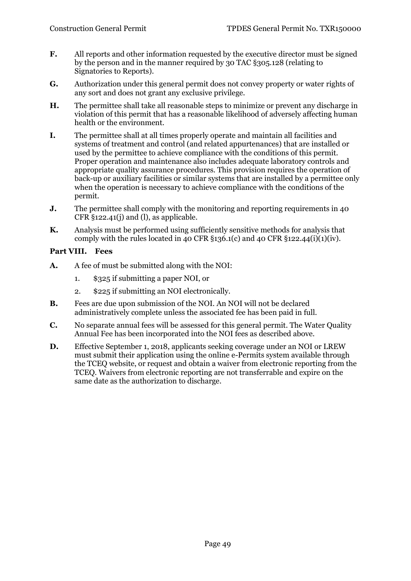- **F.** All reports and other information requested by the executive director must be signed by the person and in the manner required by 30 TAC §305.128 (relating to Signatories to Reports).
- **G.** Authorization under this general permit does not convey property or water rights of any sort and does not grant any exclusive privilege.
- **H.** The permittee shall take all reasonable steps to minimize or prevent any discharge in violation of this permit that has a reasonable likelihood of adversely affecting human health or the environment.
- **I.** The permittee shall at all times properly operate and maintain all facilities and systems of treatment and control (and related appurtenances) that are installed or used by the permittee to achieve compliance with the conditions of this permit. Proper operation and maintenance also includes adequate laboratory controls and appropriate quality assurance procedures. This provision requires the operation of back-up or auxiliary facilities or similar systems that are installed by a permittee only when the operation is necessary to achieve compliance with the conditions of the permit.
- **J.** The permittee shall comply with the monitoring and reporting requirements in 40  $CFR$  §122.41(j) and (l), as applicable.
- **K.** Analysis must be performed using sufficiently sensitive methods for analysis that comply with the rules located in 40 CFR  $\S 136.1(c)$  and 40 CFR  $\S 122.44(i)(1)(iv)$ .

# <span id="page-48-0"></span>**Part VIII. Fees**

- **A.** A fee of must be submitted along with the NOI:
	- 1. \$325 if submitting a paper NOI, or
	- 2. \$225 if submitting an NOI electronically.
- **B.** Fees are due upon submission of the NOI. An NOI will not be declared administratively complete unless the associated fee has been paid in full.
- **C.** No separate annual fees will be assessed for this general permit. The Water Quality Annual Fee has been incorporated into the NOI fees as described above.
- **D.** Effective September 1, 2018, applicants seeking coverage under an NOI or LREW must submit their application using the online e-Permits system available through the TCEQ website, or request and obtain a waiver from electronic reporting from the TCEQ. Waivers from electronic reporting are not transferrable and expire on the same date as the authorization to discharge.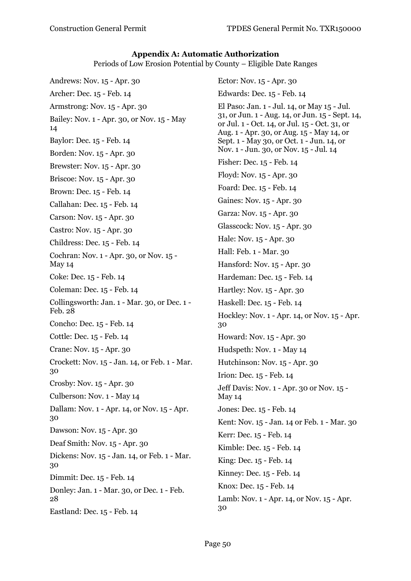### **Appendix A: Automatic Authorization**

Periods of Low Erosion Potential by County – Eligible Date Ranges

<span id="page-49-0"></span>Andrews: Nov. 15 - Apr. 30 Archer: Dec. 15 - Feb. 14 Armstrong: Nov. 15 - Apr. 30 Bailey: Nov. 1 - Apr. 30, or Nov. 15 - May 14 Baylor: Dec. 15 - Feb. 14 Borden: Nov. 15 - Apr. 30 Brewster: Nov. 15 - Apr. 30 Briscoe: Nov. 15 - Apr. 30 Brown: Dec. 15 - Feb. 14 Callahan: Dec. 15 - Feb. 14 Carson: Nov. 15 - Apr. 30 Castro: Nov. 15 - Apr. 30 Childress: Dec. 15 - Feb. 14 Cochran: Nov. 1 - Apr. 30, or Nov. 15 - May 14 Coke: Dec. 15 - Feb. 14 Coleman: Dec. 15 - Feb. 14 Collingsworth: Jan. 1 - Mar. 30, or Dec. 1 - Feb. 28 Concho: Dec. 15 - Feb. 14 Cottle: Dec. 15 - Feb. 14 Crane: Nov. 15 - Apr. 30 Crockett: Nov. 15 - Jan. 14, or Feb. 1 - Mar. 30 Crosby: Nov. 15 - Apr. 30 Culberson: Nov. 1 - May 14 Dallam: Nov. 1 - Apr. 14, or Nov. 15 - Apr. 30 Dawson: Nov. 15 - Apr. 30 Deaf Smith: Nov. 15 - Apr. 30 Dickens: Nov. 15 - Jan. 14, or Feb. 1 - Mar. 30 Dimmit: Dec. 15 - Feb. 14 Donley: Jan. 1 - Mar. 30, or Dec. 1 - Feb. 28 Eastland: Dec. 15 - Feb. 14

Ector: Nov. 15 - Apr. 30 Edwards: Dec. 15 - Feb. 14 El Paso: Jan. 1 - Jul. 14, or May 15 - Jul. 31, or Jun. 1 - Aug. 14, or Jun. 15 - Sept. 14, or Jul. 1 - Oct. 14, or Jul. 15 - Oct. 31, or Aug. 1 - Apr. 30, or Aug. 15 - May 14, or Sept. 1 - May 30, or Oct. 1 - Jun. 14, or Nov. 1 - Jun. 30, or Nov. 15 - Jul. 14 Fisher: Dec. 15 - Feb. 14 Floyd: Nov. 15 - Apr. 30 Foard: Dec. 15 - Feb. 14 Gaines: Nov. 15 - Apr. 30 Garza: Nov. 15 - Apr. 30 Glasscock: Nov. 15 - Apr. 30 Hale: Nov. 15 - Apr. 30 Hall: Feb. 1 - Mar. 30 Hansford: Nov. 15 - Apr. 30 Hardeman: Dec. 15 - Feb. 14 Hartley: Nov. 15 - Apr. 30 Haskell: Dec. 15 - Feb. 14 Hockley: Nov. 1 - Apr. 14, or Nov. 15 - Apr. 30 Howard: Nov. 15 - Apr. 30 Hudspeth: Nov. 1 - May 14 Hutchinson: Nov. 15 - Apr. 30 Irion: Dec. 15 - Feb. 14 Jeff Davis: Nov. 1 - Apr. 30 or Nov. 15 - May 14 Jones: Dec. 15 - Feb. 14 Kent: Nov. 15 - Jan. 14 or Feb. 1 - Mar. 30 Kerr: Dec. 15 - Feb. 14 Kimble: Dec. 15 - Feb. 14 King: Dec. 15 - Feb. 14 Kinney: Dec. 15 - Feb. 14 Knox: Dec. 15 - Feb. 14 Lamb: Nov. 1 - Apr. 14, or Nov. 15 - Apr. 30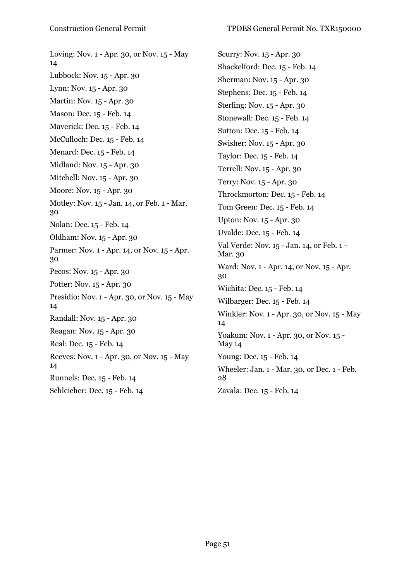Loving: Nov. 1 - Apr. 30, or Nov. 15 - May 14 Lubbock: Nov. 15 - Apr. 30 Lynn: Nov. 15 - Apr. 30 Martin: Nov. 15 - Apr. 30 Mason: Dec. 15 - Feb. 14 Maverick: Dec. 15 - Feb. 14 McCulloch: Dec. 15 - Feb. 14 Menard: Dec. 15 - Feb. 14 Midland: Nov. 15 - Apr. 30 Mitchell: Nov. 15 - Apr. 30 Moore: Nov. 15 - Apr. 30 Motley: Nov. 15 - Jan. 14, or Feb. 1 - Mar. 30 Nolan: Dec. 15 - Feb. 14 Oldham: Nov. 15 - Apr. 30 Parmer: Nov. 1 - Apr. 14, or Nov. 15 - Apr. 30 Pecos: Nov. 15 - Apr. 30 Potter: Nov. 15 - Apr. 30 Presidio: Nov. 1 - Apr. 30, or Nov. 15 - May 14 Randall: Nov. 15 - Apr. 30 Reagan: Nov. 15 - Apr. 30 Real: Dec. 15 - Feb. 14 Reeves: Nov. 1 - Apr. 30, or Nov. 15 - May 14 Runnels: Dec. 15 - Feb. 14 Schleicher: Dec. 15 - Feb. 14

Scurry: Nov. 15 - Apr. 30 Shackelford: Dec. 15 - Feb. 14 Sherman: Nov. 15 - Apr. 30 Stephens: Dec. 15 - Feb. 14 Sterling: Nov. 15 - Apr. 30 Stonewall: Dec. 15 - Feb. 14 Sutton: Dec. 15 - Feb. 14 Swisher: Nov. 15 - Apr. 30 Taylor: Dec. 15 - Feb. 14 Terrell: Nov. 15 - Apr. 30 Terry: Nov. 15 - Apr. 30 Throckmorton: Dec. 15 - Feb. 14 Tom Green: Dec. 15 - Feb. 14 Upton: Nov. 15 - Apr. 30 Uvalde: Dec. 15 - Feb. 14 Val Verde: Nov. 15 - Jan. 14, or Feb. 1 - Mar. 30 Ward: Nov. 1 - Apr. 14, or Nov. 15 - Apr. 30 Wichita: Dec. 15 - Feb. 14 Wilbarger: Dec. 15 - Feb. 14 Winkler: Nov. 1 - Apr. 30, or Nov. 15 - May 14 Yoakum: Nov. 1 - Apr. 30, or Nov. 15 - May 14 Young: Dec. 15 - Feb. 14 Wheeler: Jan. 1 - Mar. 30, or Dec. 1 - Feb. 28 Zavala: Dec. 15 - Feb. 14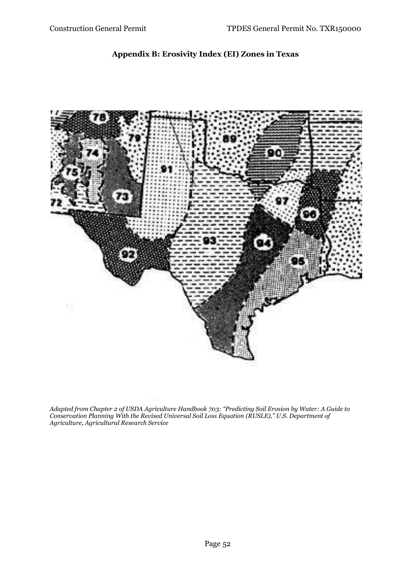# **Appendix B: Erosivity Index (EI) Zones in Texas**

<span id="page-51-0"></span>

*Adapted from Chapter 2 of USDA Agriculture Handbook 703: "Predicting Soil Erosion by Water: A Guide to Conservation Planning With the Revised Universal Soil Loss Equation (RUSLE)," U.S. Department of Agriculture, Agricultural Research Service*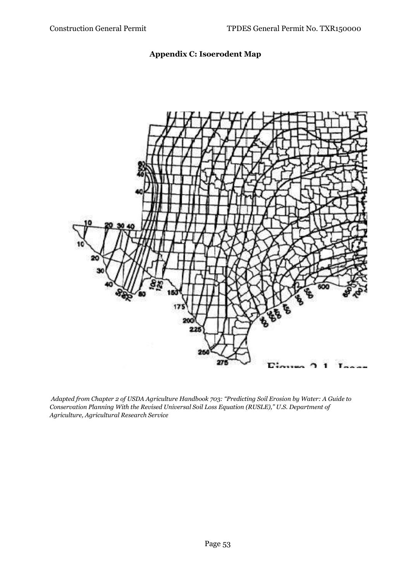# **Appendix C: Isoerodent Map**

<span id="page-52-0"></span>

*Adapted from Chapter 2 of USDA Agriculture Handbook 703: "Predicting Soil Erosion by Water: A Guide to Conservation Planning With the Revised Universal Soil Loss Equation (RUSLE)," U.S. Department of Agriculture, Agricultural Research Service*